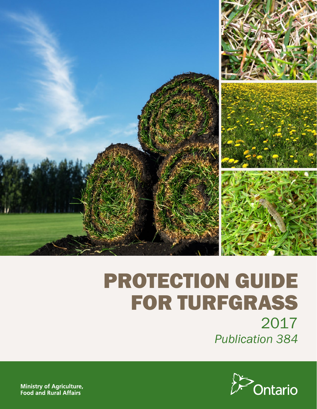

# PROTECTION GUIDE FOR TURFGRASS 2017 *Publication 384*



**Ministry of Agriculture,** Food and Rural Affairs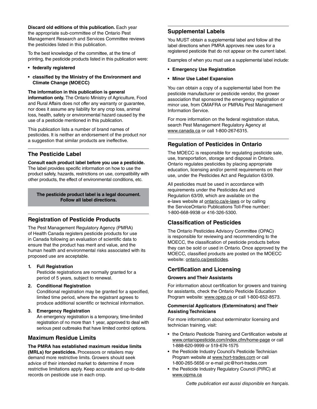**Discard old editions of this publication.** Each year the appropriate sub-committee of the Ontario Pest Management Research and Services Committee reviews the pesticides listed in this publication.

To the best knowledge of the committee, at the time of printing, the pesticide products listed in this publication were:

- **• federally registered**
- **• classified by the Ministry of the Environment and Climate Change (MOECC)**

**The information in this publication is general information only.** The Ontario Ministry of Agriculture, Food and Rural Affairs does not offer any warranty or guarantee, nor does it assume any liability for any crop loss, animal loss, health, safety or environmental hazard caused by the use of a pesticide mentioned in this publication.

This publication lists a number of brand names of pesticides. It is neither an endorsement of the product nor a suggestion that similar products are ineffective.

## **The Pesticide Label**

**Consult each product label before you use a pesticide.**  The label provides specific information on how to use the product safely, hazards, restrictions on use, compatibility with other products, the effect of environmental conditions, etc.

**The pesticide product label is a legal document. Follow all label directions.**

#### **Registration of Pesticide Products**

The Pest Management Regulatory Agency (PMRA) of Health Canada registers pesticide products for use in Canada following an evaluation of scientific data to ensure that the product has merit and value, and the human health and environmental risks associated with its proposed use are acceptable.

**1. Full Registration**

Pesticide registrations are normally granted for a period of 5 years, subject to renewal.

**2. Conditional Registration**

Conditional registration may be granted for a specified, limited time period, where the registrant agrees to produce additional scientific or technical information.

#### **3. Emergency Registration**

An emergency registration is a temporary, time-limited registration of no more than 1 year, approved to deal with serious pest outbreaks that have limited control options.

## **Maximum Residue Limits**

**The PMRA has established maximum residue limits** 

**(MRLs) for pesticides.** Processors or retailers may demand more restrictive limits. Growers should seek advice of their intended market to determine if more restrictive limitations apply. Keep accurate and up-to-date records on pesticide use in each crop.

#### **Supplemental Labels**

You MUST obtain a supplemental label and follow all the label directions when PMRA approves new uses for a registered pesticide that do not appear on the current label.

Examples of when you must use a supplemental label include:

- **• Emergency Use Registration**
- **• Minor Use Label Expansion**

You can obtain a copy of a supplemental label from the pesticide manufacturer or pesticide vendor, the grower association that sponsored the emergency registration or minor use, from OMAFRA or PMRA's Pest Management Information Service.

For more information on the federal registration status, search Pest Management Regulatory Agency at [www.canada.ca](http://www.canada.ca) or call 1-800-267-6315.

## **Regulation of Pesticides in Ontario**

The MOECC is responsible for regulating pesticide sale, use, transportation, storage and disposal in Ontario. Ontario regulates pesticides by placing appropriate education, licensing and/or permit requirements on their use, under the Pesticides Act and Regulation 63/09.

All pesticides must be used in accordance with requirements under the Pesticides Act and Regulation 63/09, which are available on the e-laws website at [ontario.ca/e-laws](http://www.ontario.ca/e-laws) or by calling the ServiceOntario Publications Toll-Free number: 1-800-668-9938 or 416-326-5300.

## **Classification of Pesticides**

The Ontario Pesticides Advisory Committee (OPAC) is responsible for reviewing and recommending to the MOECC, the classification of pesticide products before they can be sold or used in Ontario. Once approved by the MOECC, classified products are posted on the MOECC website: [ontario.ca/pesticides](http://ontario.ca/pesticides).

## **Certification and Licensing**

#### **Growers and Their Assistants**

For information about certification for growers and training for assistants, check the Ontario Pesticide Education Program website: [www.opep.ca](http://www.opep.ca) or call 1-800-652-8573.

#### **Commercial Applicators (Exterminators) and Their Assisting Technicians**

For more information about exterminator licensing and technician training, visit:

- the Ontario Pesticide Training and Certification website at [www.ontariopesticide.com/index.cfm/home-page](http://www.ontariopesticide.com/index.cfm/home-page) or call 1-888-620-9999 or 519-674-1575
- the Pesticide Industry Council's Pesticide Technician Program website at [www.hort-trades.com](http://www.hort-trades.com) or call 1-800-265-5656 or e-mail pic@hort-trades.com
- the Pesticide Industry Regulatory Council (PIRC) at [www.oipma.ca](http://www.oipma.ca)

*Cette publication est aussi disponible en français.*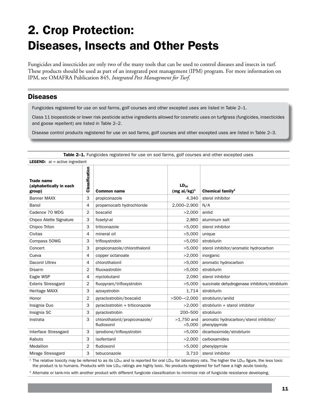## 2. Crop Protection: Diseases, Insects and Other Pests

Fungicides and insecticides are only two of the many tools that can be used to control diseases and insects in turf. These products should be used as part of an integrated pest management (IPM) program. For more information on IPM, see OMAFRA Publication 845, *Integrated Pest Management for Turf*.

## **Diseases**

Fungicides registered for use on sod farms, golf courses and other excepted uses are listed in Table 2–1.

Class 11 biopesticide or lower risk pesticide active ingredients allowed for cosmetic uses on turfgrass (fungicides, insecticides and goose repellent) are listed in Table 2–2.

Disease control products registered for use on sod farms, golf courses and other excepted uses are listed in Table 2–3.

| <b>LEGEND:</b> $ai = active ingredient$                |                |                                              |                            |                                                         |  |  |
|--------------------------------------------------------|----------------|----------------------------------------------|----------------------------|---------------------------------------------------------|--|--|
| <b>Trade name</b><br>(alphabetically in each<br>group) | Classification | <b>Common name</b>                           | $LD_{50}$<br>$(mgai/kg)^1$ | Chemical family <sup>2</sup>                            |  |  |
| <b>Banner MAXX</b>                                     | 3              | propiconazole                                | 4,340                      | sterol inhibitor                                        |  |  |
| Banol                                                  | 4              | propamocarb hydrochloride                    | 2,000-2,900                | N/A                                                     |  |  |
| Cadence 70 WDG                                         | 2              | boscalid                                     | >2,000                     | anilid                                                  |  |  |
| Chipco Aliette Signature                               | 3              | fosetyl-al                                   | 2,860                      | aluminum salt                                           |  |  |
| Chipco Triton                                          | 3              | triticonazole                                | >5,000                     | sterol inhibitor                                        |  |  |
| Civitas                                                | 4              | mineral oil                                  | >5,000                     | unique                                                  |  |  |
| Compass 50WG                                           | 3              | trifloxystrobin                              | >5,050                     | strobilurin                                             |  |  |
| Concert                                                | 3              | propiconazole/chlorothalonil                 | >5,000                     | sterol inhibitor/aromatic hydrocarbon                   |  |  |
| Cueva                                                  | 4              | copper octanoate                             | >2,000                     | inorganic                                               |  |  |
| Daconil Ultrex                                         | 4              | chlorothalonil                               | >5,000                     | aromatic hydrocarbon                                    |  |  |
| Disarm                                                 | $\overline{2}$ | flluoxastrobin                               | >5,000                     | strobilurin                                             |  |  |
| Eagle WSP                                              | 4              | myclobutanil                                 | 2,090                      | sterol inhibitor                                        |  |  |
| <b>Exteris Stressgard</b>                              | 2              | fluopyram/trifloxystrobin                    | >5,000                     | succinate dehydrogenase inhibitors/strobilurin          |  |  |
| Heritage MAXX                                          | 3              | azoxystrobin                                 | 1,714                      | strobilurin                                             |  |  |
| Honor                                                  | $\overline{2}$ | pyraclostrobin/boscalid                      | $>500 - 2,000$             | strobilurin/anilid                                      |  |  |
| Insignia Duo                                           | 3              | pyraclostrobin + triticonazole               | >2,000                     | strobilurin + sterol inhibitor                          |  |  |
| Insignia SC                                            | 3              | pyraclostrobin                               | 200-500                    | strobilurin                                             |  |  |
| Instrata                                               | 3              | chlorothalonil/propiconazole/<br>fludioxonil | $>1,750$ and<br>< 5,000    | aromatic hydrocarbon/sterol inhibitor/<br>phenylpyrrole |  |  |
| Interface Stressgard                                   | 3              | iprodione/trifloxystrobin                    | >5,000                     | dicarboximide/strobilurin                               |  |  |
| Kabuto                                                 | 3              | isofentanil                                  | >2,000                     | carboxamides                                            |  |  |
| Medallion                                              | 2              | fludioxonil                                  | >5,000                     | phenylpyrrole                                           |  |  |
| Mirage Stressgard                                      | 3              | tebuconazole                                 | 3,710                      | sterol inhibitor                                        |  |  |

Table 2-1. Fungicides registered for use on sod farms, golf courses and other excepted uses

<sup>1</sup> The relative toxicity may be referred to as its LD<sub>50</sub> and is reported for oral LD<sub>50</sub> for laboratory rats. The higher the LD<sub>50</sub> figure, the less toxic the product is to humans. Products with low LD<sub>50</sub> ratings are highly toxic. No products registered for turf have a high acute toxicity.

<sup>2</sup> Alternate or tank-mix with another product with different fungicide classification to minimize risk of fungicide resistance developing.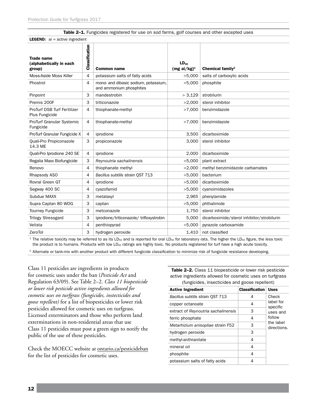#### Table 2-1. Fungicides registered for use on sod farms, golf courses and other excepted uses

**LEGEND:**  $ai = active ingredient$ 

| Trade name<br>(alphabetically in each<br>group) | Classification | <b>Common name</b>                                              | LD <sub>50</sub><br>$(mgai/kg)^1$ | Chemical family <sup>2</sup>               |
|-------------------------------------------------|----------------|-----------------------------------------------------------------|-----------------------------------|--------------------------------------------|
| Moss-Aside Moss Killer                          | 4              | potassium salts of fatty acids                                  | >5,000                            | salts of carboxylic acids                  |
| Phostrol                                        | 4              | mono- and dibasic sodium, potassium,<br>and ammonium phosphites | >5,000                            | phosphite                                  |
| Pinpoint                                        | 3              | mandestrobin                                                    | > 3,129                           | strobilurin                                |
| Premis 200F                                     | 3              | triticonazole                                                   | >2,000                            | sterol inhibitor                           |
| ProTurf DSB Turf Fertilizer<br>Plus Fungicide   | 4              | thiophanate-methyl                                              | >7,000                            | benzimidazole                              |
| ProTurf Granular Systemic<br>Fungicide          | 4              | thiophanate-methyl                                              | >7,000                            | benzimidazole                              |
| ProTurf Granular Fungicide X                    | 4              | iprodione                                                       | 3,500                             | dicarboximide                              |
| Quali-Pro Propiconazole<br>14.3 ME              | 3              | propiconazole                                                   | 3.000                             | sterol inhibitor                           |
| Quali-Pro Iprodione 240 SE                      | 4              | iprodione                                                       | 2,000                             | dicarboximide                              |
| Regalia Maxx Biofungicide                       | 3              | Reynoutria sachalinensis                                        | >5,000                            | plant extract                              |
| Renovo                                          | 4              | thiophanate methyl                                              | >2,000                            | methyl benzimidazole carbamates            |
| Rhapsody ASO                                    | 4              | Bacillus subtilis strain QST 713                                | >5,000                            | bacterium                                  |
| Rovral Green GT                                 | 4              | iprodione                                                       | >5,000                            | dicarboximide                              |
| Segway 400 SC                                   | 4              | cyazofamid                                                      | >5,000                            | cyanoimidazoles                            |
| Subdue MAXX                                     | 3              | metalaxyl                                                       | 2,965                             | phenylamide                                |
| Supra Captan 80 WDG                             | 3              | captan                                                          | >5,000                            | phthalimide                                |
| <b>Tourney Fungicide</b>                        | 3              | metconazole                                                     | 1,750                             | sterol inhibitor                           |
| <b>Trilogy Stressgard</b>                       | 3              | iprodione/triticonazole/trifloxystrobin                         | 5,000                             | dicarboximide/sterol inhibitor/strobilurin |
| Velista                                         | 4              | penthiopyrad                                                    | >5,000                            | pyrazole carboxamide                       |
| ZeroTol                                         | 3              | hydrogen peroxide                                               | 1,410                             | not classified                             |

<sup>1</sup> The relative toxicity may be referred to as its LD<sub>50</sub> and is reported for oral LD<sub>50</sub> for laboratory rats. The higher the LD<sub>50</sub> figure, the less toxic the product is to humans. Products with low LD<sub>50</sub> ratings are highly toxic. No products registered for turf have a high acute toxicity.

<sup>2</sup> Alternate or tank-mix with another product with different fungicide classification to minimize risk of fungicide resistance developing.

Class 11 pesticides are ingredients in products for cosmetic uses under the ban (*Pesticide Act* and Regulation 63/09). See Table 2–2. *Class 11 biopesticide or lower risk pesticide active ingredients allowed for cosmetic uses on turfgrass (fungicides, instecticides and goose repellent)* for a list of biopesticides or lower risk pesticides allowed for cosmetic uses on turfgrass. Licensed exterminators and those who perform land exterminations in non-residential areas that use Class 11 pesticides must post a green sign to notify the public of the use of these pesticides.

Check the MOECC website at [ontario.ca/pesticideban](http://www.ontario.ca/pesticideban) for the list of pesticides for cosmetic uses.

Table 2-2. Class 11 biopesticide or lower risk pesticide active ingredients allowed for cosmetic uses on turfgrass (fungicides, insecticides and goose repellent)

| <b>Active Ingredient</b>            | <b>Classification</b> | <b>Uses</b>              |
|-------------------------------------|-----------------------|--------------------------|
| Bacillus subtilis strain QST 713    | 4                     | Check                    |
| copper octanoate                    | 4                     | label for<br>specific    |
| extract of Reynoutria sachalinensis | 3                     | uses and                 |
| ferric phosphate                    | 4                     | follow                   |
| Metarhizium anisopliae strain F52   | З                     | the label<br>directions. |
| hydrogen peroxide                   | З                     |                          |
| methyl-anthranilate                 | 4                     |                          |
| mineral oil                         | 4                     |                          |
| phosphite                           | 4                     |                          |
| potassium salts of fatty acids      |                       |                          |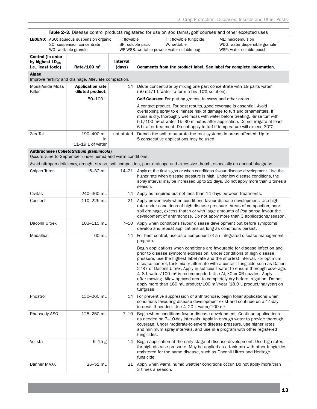| Table 2-3. Disease control products registered for use on sod farms, golf courses and other excepted uses |                                                                                                       |                           |                                                                                                                                                                                                                                                                                                                                                                                                                                                                                                                                                                                     |                                                                                 |  |
|-----------------------------------------------------------------------------------------------------------|-------------------------------------------------------------------------------------------------------|---------------------------|-------------------------------------------------------------------------------------------------------------------------------------------------------------------------------------------------------------------------------------------------------------------------------------------------------------------------------------------------------------------------------------------------------------------------------------------------------------------------------------------------------------------------------------------------------------------------------------|---------------------------------------------------------------------------------|--|
|                                                                                                           | <b>LEGEND:</b> ASO: aqueous suspension organic<br>SC: suspension concentrate<br>WG: wettable granule  | F: flowable               | FF: flowable fungicide<br>SP: soluble pack<br>W: wettable<br>WP WSB: wettable powder water soluble bag                                                                                                                                                                                                                                                                                                                                                                                                                                                                              | ME: microemulsion<br>WDG: water dispersible granule<br>WSP: water soluble pouch |  |
| Control (in order<br>by highest $LD_{50}$ ,<br>i.e., least toxic)                                         | Rate/100 $m2$                                                                                         | <b>Interval</b><br>(days) | Comments from the product label. See label for complete information.                                                                                                                                                                                                                                                                                                                                                                                                                                                                                                                |                                                                                 |  |
| <b>Algae</b>                                                                                              | Improve fertility and drainage. Alleviate compaction.                                                 |                           |                                                                                                                                                                                                                                                                                                                                                                                                                                                                                                                                                                                     |                                                                                 |  |
| Moss-Aside Moss                                                                                           | <b>Application rate</b>                                                                               | 14                        | Dilute concentrate by mixing one part concentrate with 19 parts water                                                                                                                                                                                                                                                                                                                                                                                                                                                                                                               |                                                                                 |  |
| Killer                                                                                                    | diluted product:                                                                                      |                           | (50 mL/1 L water to form a 5%-10% solution).                                                                                                                                                                                                                                                                                                                                                                                                                                                                                                                                        |                                                                                 |  |
|                                                                                                           | 50-100L                                                                                               |                           | <b>Golf Courses:</b> For putting greens, fairways and other areas.                                                                                                                                                                                                                                                                                                                                                                                                                                                                                                                  |                                                                                 |  |
|                                                                                                           |                                                                                                       |                           | A contact product. For best results, good coverage is essential. Avoid<br>overlapping spray to eliminate risk of damage to turf and ornamentals. If<br>moss is dry, thoroughly wet moss with water before treating. Rinse turf with<br>$5 L/100$ m <sup>2</sup> of water 15–30 minutes after application. Do not irrigate at least<br>6 hr after treatment. Do not apply to turf if temperature will exceed 30°C.                                                                                                                                                                   |                                                                                 |  |
| ZeroTol                                                                                                   | 190-400 mL<br>in<br>11-19 L of water                                                                  | not stated                | Drench the soil to saturate the root systems in areas affected. Up to<br>5 consecutive applications may be used.                                                                                                                                                                                                                                                                                                                                                                                                                                                                    |                                                                                 |  |
|                                                                                                           | Anthracnose (Colletotrichum graminicola)<br>Occurs June to September under humid and warm conditions. |                           |                                                                                                                                                                                                                                                                                                                                                                                                                                                                                                                                                                                     |                                                                                 |  |
|                                                                                                           |                                                                                                       |                           | Avoid nitrogen deficiency, drought stress, soil compaction, poor drainage and excessive thatch, especially on annual bluegrass.                                                                                                                                                                                                                                                                                                                                                                                                                                                     |                                                                                 |  |
| Chipco Triton                                                                                             | 16-32 mL                                                                                              | 14–21                     | Apply at the first signs or when conditions favour disease development. Use the<br>higher rate when disease pressure is high. Under low disease conditions, the<br>spray interval may be increased up to 21 days. Do not apply more than 3 times a<br>season.                                                                                                                                                                                                                                                                                                                       |                                                                                 |  |
| Civitas                                                                                                   | 240-460 mL                                                                                            | 14                        | Apply as required but not less than 14 days between treatments.                                                                                                                                                                                                                                                                                                                                                                                                                                                                                                                     |                                                                                 |  |
| Concert                                                                                                   | 110-225 mL                                                                                            | 21                        | Apply preventively when conditions favour disease development. Use high<br>rate under conditions of high disease pressure. Areas of compaction, poor<br>soil drainage, excess thatch or with large amounts of Poa annua favour the<br>development of anthracnose. Do not apply more than 3 applications/season.                                                                                                                                                                                                                                                                     |                                                                                 |  |
| Daconil Ultrex                                                                                            | 103-115 mL                                                                                            | 7–10                      | Apply when conditions favour disease development but before symptoms<br>develop and repeat applications as long as conditions persist.                                                                                                                                                                                                                                                                                                                                                                                                                                              |                                                                                 |  |
| Medallion                                                                                                 | 60 mL                                                                                                 | 14                        | For best control, use as a component of an integrated disease management<br>program.                                                                                                                                                                                                                                                                                                                                                                                                                                                                                                |                                                                                 |  |
|                                                                                                           |                                                                                                       |                           | Begin applications when conditions are favourable for disease infection and<br>prior to disease symptom expression. Under conditions of high disease<br>pressure, use the highest label rate and the shortest interval. For optimum<br>2787 or Daconil Ultrex. Apply in sufficient water to ensure thorough coverage.<br>4–8 L water/100 $m^2$ is recommended. Use AI, XC or XR nozzles. Apply<br>after mowing. Allow sprayed area to completely dry before irrigation. Do not<br>apply more than 180 mL product/100 m <sup>2</sup> /year (18.0 L product/ha/year) on<br>turfgrass. | disease control, tank-mix or alternate with a contact fungicide such as Daconil |  |
| Phostrol                                                                                                  | 130-260 mL                                                                                            | 14                        | For preventive suppression of anthracnose, begin foliar applications when<br>conditions favouring disease development exist and continue on a 14-day<br>interval, if needed. Use 4-20 L water/100 m <sup>2</sup> .                                                                                                                                                                                                                                                                                                                                                                  |                                                                                 |  |
| Rhapsody ASO                                                                                              | 125-250 mL                                                                                            | 7–10                      | Begin when conditions favour disease development. Continue applications<br>as needed on 7-10-day intervals. Apply in enough water to provide thorough<br>coverage. Under moderate-to-severe disease pressure, use higher rates<br>and minimum spray intervals, and use in a program with other registered<br>fungicides.                                                                                                                                                                                                                                                            |                                                                                 |  |
| Velista                                                                                                   | $9 - 15g$                                                                                             | 14                        | Begin application at the early stage of disease development. Use high rates<br>for high disease pressure. May be applied as a tank mix with other fungicides<br>registered for the same disease, such as Daconil Ultrex and Heritage<br>fungicide.                                                                                                                                                                                                                                                                                                                                  |                                                                                 |  |
| Banner MAXX                                                                                               | 26-51 mL                                                                                              | 21                        | Apply when warm, humid weather conditions occur. Do not apply more than<br>3 times a season.                                                                                                                                                                                                                                                                                                                                                                                                                                                                                        |                                                                                 |  |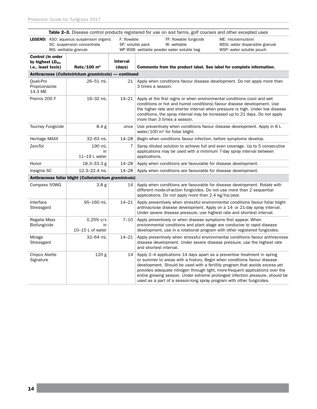|                                                                   |                                                                                                      |                           | Table 2-3. Disease control products registered for use on sod farms, golf courses and other excepted uses                                                                                                                                                                                                                                                                                                                                                                   |  |  |
|-------------------------------------------------------------------|------------------------------------------------------------------------------------------------------|---------------------------|-----------------------------------------------------------------------------------------------------------------------------------------------------------------------------------------------------------------------------------------------------------------------------------------------------------------------------------------------------------------------------------------------------------------------------------------------------------------------------|--|--|
|                                                                   | <b>LEGEND:</b> ASO: aqueous suspension organic<br>SC: suspension concentrate<br>WG: wettable granule | F: flowable               | FF: flowable fungicide<br>ME: microemulsion<br>SP: soluble pack<br>W: wettable<br>WDG: water dispersible granule<br>WP WSB: wettable powder water soluble bag<br>WSP: water soluble pouch                                                                                                                                                                                                                                                                                   |  |  |
| Control (in order<br>by highest $LD_{50}$ ,<br>i.e., least toxic) | Rate/100 $m2$                                                                                        | <b>Interval</b><br>(days) | Comments from the product label. See label for complete information.                                                                                                                                                                                                                                                                                                                                                                                                        |  |  |
| Anthracnose (Colletotrichum graminicola) — continued              |                                                                                                      |                           |                                                                                                                                                                                                                                                                                                                                                                                                                                                                             |  |  |
| Quali-Pro<br>Propiconazole<br>14.3 ME                             | 26-51 mL                                                                                             | 21                        | Apply when conditions favour disease development. Do not apply more than<br>3 times a season.                                                                                                                                                                                                                                                                                                                                                                               |  |  |
| Premis 200 F                                                      | 16-32 mL                                                                                             | $14 - 21$                 | Apply at the first signs or when environmental conditions (cool and wet<br>conditions or hot and humid conditions) favour disease development. Use<br>the higher rate and shorter interval when pressure is high. Under low disease<br>conditions, the spray interval may be increased up to 21 days. Do not apply<br>more than 3 times a season.                                                                                                                           |  |  |
| <b>Tourney Fungicide</b>                                          | 8.4 <sub>g</sub>                                                                                     | once                      | Use preventively when conditions favour disease development. Apply in 8 L<br>water/100 $m^2$ for foliar blight.                                                                                                                                                                                                                                                                                                                                                             |  |  |
| Heritage MAXX                                                     | 32-63 mL                                                                                             | $14 - 28$                 | Begin when conditions favour infection, before symptoms develop.                                                                                                                                                                                                                                                                                                                                                                                                            |  |  |
| ZeroTol                                                           | 190 mL<br>in<br>11-19 L water                                                                        | 7                         | Spray diluted solution to achieve full and even coverage. Up to 5 consecutive<br>applications may be used with a minimum 7-day spray interval between<br>applications.                                                                                                                                                                                                                                                                                                      |  |  |
| Honor                                                             | 18.3-33.3 g                                                                                          | $14 - 28$                 | Apply when conditions are favourable for disease development.                                                                                                                                                                                                                                                                                                                                                                                                               |  |  |
| Insignia SC                                                       | 12.3-22.4 mL                                                                                         | $14 - 28$                 | Apply when conditions are favourable for disease development.                                                                                                                                                                                                                                                                                                                                                                                                               |  |  |
|                                                                   | Anthracnose foliar blight (Colletotrichum graminicola)                                               |                           |                                                                                                                                                                                                                                                                                                                                                                                                                                                                             |  |  |
| Compass 50WG                                                      | 3.8 <sub>g</sub>                                                                                     | 14                        | Apply when conditions are favourable for disease development. Rotate with<br>different mode-of-action fungicides. Do not use more than 2 sequential<br>applications. Do not apply more than 2.4 kg/ha/year.                                                                                                                                                                                                                                                                 |  |  |
| Interface<br>Stressgard                                           | 95-160 mL                                                                                            | 14–21                     | Apply preventively when stressful environmental conditions favour foliar blight<br>anthracnose disease development. Apply on a 14- or 21-day spray interval.<br>Under severe disease pressure, use highest rate and shortest interval.                                                                                                                                                                                                                                      |  |  |
| Regalia Maxx<br><b>Biofungicide</b>                               | $0.25%$ v/v<br>in<br>10-15 L of water                                                                | $7 - 10$                  | Apply preventively or when disease symptoms first appear. When<br>environmental conditions and plant stage are conducive to rapid disease<br>development, use in a rotational program with other registered fungicides.                                                                                                                                                                                                                                                     |  |  |
| Mirage<br>Stressgard                                              | 32-64 mL                                                                                             | $14 - 21$                 | Apply preventively when stressful environmental conditions favour anthracnose<br>disease development. Under severe disease pressure, use the highest rate<br>and shortest interval.                                                                                                                                                                                                                                                                                         |  |  |
| Chipco Aliette<br>Signature                                       | 120 g                                                                                                | 14                        | Apply 2–4 applications 14 days apart as a preventive treatment in spring<br>or summer to areas with a history. Begin when conditions favour disease<br>development. Should be used with a fertility program that avoids excess yet<br>provides adequate nitrogen through light, more-frequent applications over the<br>entire growing season. Under extreme prolonged infection pressure, should be<br>used as a part of a season-long spray program with other fungicides. |  |  |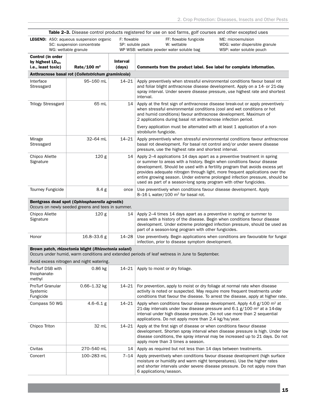|                                                                          | Table 2–3. Disease control products registered for use on sod farms, golf courses and other excepted uses |                                 |                                                                                                                                                                                                                                                                                                                                                                                                                                                                           |                                                                                 |  |
|--------------------------------------------------------------------------|-----------------------------------------------------------------------------------------------------------|---------------------------------|---------------------------------------------------------------------------------------------------------------------------------------------------------------------------------------------------------------------------------------------------------------------------------------------------------------------------------------------------------------------------------------------------------------------------------------------------------------------------|---------------------------------------------------------------------------------|--|
|                                                                          | LEGEND: ASO: aqueous suspension organic<br>SC: suspension concentrate<br>WG: wettable granule             | F: flowable<br>SP: soluble pack | FF: flowable fungicide<br>W: wettable<br>WP WSB: wettable powder water soluble bag                                                                                                                                                                                                                                                                                                                                                                                        | ME: microemulsion<br>WDG: water dispersible granule<br>WSP: water soluble pouch |  |
| <b>Control (in order</b><br>by highest $LD_{50}$ ,<br>i.e., least toxic) | Rate/100 $m2$                                                                                             | <b>Interval</b><br>(days)       | Comments from the product label. See label for complete information.                                                                                                                                                                                                                                                                                                                                                                                                      |                                                                                 |  |
| Anthracnose basal rot (Colletotrichum graminicola)                       |                                                                                                           |                                 |                                                                                                                                                                                                                                                                                                                                                                                                                                                                           |                                                                                 |  |
| Interface<br>Stressgard                                                  | 95-160 mL                                                                                                 | $14 - 21$                       | Apply preventively when stressful environmental conditions favour basal rot<br>and foliar blight anthracnose disease development. Apply on a 14- or 21-day<br>spray interval. Under severe disease pressure, use highest rate and shortest<br>interval.                                                                                                                                                                                                                   |                                                                                 |  |
| <b>Trilogy Stressgard</b>                                                | 65 mL                                                                                                     | 14                              | Apply at the first sign of anthracnose disease break-out or apply preventively<br>when stressful environmental conditions (cool and wet conditions or hot<br>and humid conditions) favour anthracnose development. Maximum of<br>2 applications during basal rot anthracnose infection period.                                                                                                                                                                            |                                                                                 |  |
|                                                                          |                                                                                                           |                                 | Every application must be alternated with at least 1 application of a non-<br>strobilurin fungicide.                                                                                                                                                                                                                                                                                                                                                                      |                                                                                 |  |
| Mirage<br>Stressgard                                                     | 32-64 mL                                                                                                  | $14 - 21$                       | Apply preventively when stressful environmental conditions favour anthracnose<br>basal rot development. For basal rot control and/or under severe disease<br>pressure, use the highest rate and shortest interval.                                                                                                                                                                                                                                                        |                                                                                 |  |
| Chipco Aliette<br>Signature                                              | 120 <sub>g</sub>                                                                                          | 14                              | Apply 2–4 applications 14 days apart as a preventive treatment in spring<br>or summer to areas with a history. Begin when conditions favour disease<br>development. Should be used with a fertility program that avoids excess yet<br>provides adequate nitrogen through light, more frequent applications over the<br>entire growing season. Under extreme prolonged infection pressure, should be<br>used as part of a season-long spray program with other fungicides. |                                                                                 |  |
| <b>Tourney Fungicide</b>                                                 | 8.4 g                                                                                                     | once                            | Use preventively when conditions favour disease development. Apply<br>8-16 L water/100 m <sup>2</sup> for basal rot.                                                                                                                                                                                                                                                                                                                                                      |                                                                                 |  |

#### Bentgrass dead spot (*Ophiosphaerella agrostis*)

Occurs on newly seeded greens and tees in summer.

| Chipco Aliette<br>Signature | 120 g           |       | 14   Apply 2–4 times 14 days apart as a preventive in spring or summer to<br>areas with a history of the disease. Begin when conditions favour disease<br>development. Under extreme prolonged infection pressure, should be used as<br>part of a season-long program with other fungicides. |
|-----------------------------|-----------------|-------|----------------------------------------------------------------------------------------------------------------------------------------------------------------------------------------------------------------------------------------------------------------------------------------------|
| Honor                       | $16.8 - 33.6 g$ | 14–28 | Use preventively. Begin applications when conditions are favourable for fungal<br>infection, prior to disease symptom development.                                                                                                                                                           |

#### Brown patch, rhizoctonia blight (*Rhizoctonia solani*)

Occurs under humid, warm conditions and extended periods of leaf wetness in June to September.

Avoid excess nitrogen and night watering.

| ProTurf DSB with<br>thiophanate-<br>methyl       | $0.86$ kg        | $14 - 21$ | Apply to moist or dry foliage.                                                                                                                                                                                                                                                                                     |
|--------------------------------------------------|------------------|-----------|--------------------------------------------------------------------------------------------------------------------------------------------------------------------------------------------------------------------------------------------------------------------------------------------------------------------|
| <b>ProTurf Granular</b><br>Systemic<br>Fungicide | $0.66 - 1.32$ kg | $14 - 21$ | For prevention, apply to moist or dry foliage at normal rate when disease<br>activity is noted or suspected. May require more frequent treatments under<br>conditions that favour the disease. To arrest the disease, apply at higher rate.                                                                        |
| Compass 50 WG                                    | $4.6 - 6.1$ g    | $14 - 21$ | Apply when conditions favour disease development. Apply 4.6 $g/100$ m <sup>2</sup> at<br>21-day intervals under low disease pressure and 6.1 $g/100$ m <sup>2</sup> at a 14-day<br>interval under high disease pressure. Do not use more than 2 sequential<br>applications. Do not apply more than 2.4 kg/ha/year. |
| Chipco Triton                                    | 32 mL            | $14 - 21$ | Apply at the first sign of disease or when conditions favour disease<br>development. Shorten spray interval when disease pressure is high. Under low<br>disease conditions, the spray interval may be increased up to 21 days. Do not<br>apply more than 3 times a season.                                         |
| Civitas                                          | 270-540 mL       | 14        | Apply as required but not less than 14 days between treatments.                                                                                                                                                                                                                                                    |
| Concert                                          | 100-283 mL       | 7–14      | Apply preventively when conditions favour disease development (high surface<br>moisture or humidity and warm night temperatures). Use the higher rates<br>and shorter intervals under severe disease pressure. Do not apply more than<br>6 applications/season.                                                    |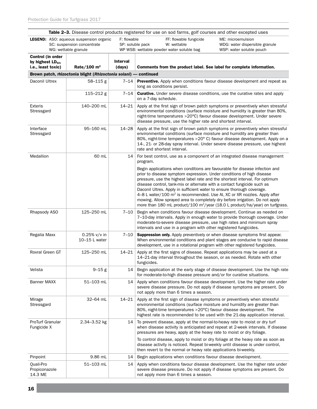|                                              |                                                                                                      |                           | Table 2-3. Disease control products registered for use on sod farms, golf courses and other excepted uses                                                                                                                                                                                                                                                                                                                                                                                                                                                        |                                                                                                                                                                                                                                                |
|----------------------------------------------|------------------------------------------------------------------------------------------------------|---------------------------|------------------------------------------------------------------------------------------------------------------------------------------------------------------------------------------------------------------------------------------------------------------------------------------------------------------------------------------------------------------------------------------------------------------------------------------------------------------------------------------------------------------------------------------------------------------|------------------------------------------------------------------------------------------------------------------------------------------------------------------------------------------------------------------------------------------------|
|                                              | <b>LEGEND:</b> ASO: aqueous suspension organic<br>SC: suspension concentrate<br>WG: wettable granule |                           | F: flowable<br>FF: flowable fungicide<br>SP: soluble pack<br>W: wettable<br>WP WSB: wettable powder water soluble bag                                                                                                                                                                                                                                                                                                                                                                                                                                            | ME: microemulsion<br>WDG: water dispersible granule<br>WSP: water soluble pouch                                                                                                                                                                |
| Control (in order                            |                                                                                                      |                           |                                                                                                                                                                                                                                                                                                                                                                                                                                                                                                                                                                  |                                                                                                                                                                                                                                                |
| by highest $LD_{50}$ ,<br>i.e., least toxic) | Rate/100 $m2$                                                                                        | <b>Interval</b><br>(days) | Comments from the product label. See label for complete information.                                                                                                                                                                                                                                                                                                                                                                                                                                                                                             |                                                                                                                                                                                                                                                |
|                                              | Brown patch, rhizoctonia blight (Rhizoctonia solani) - continued                                     |                           |                                                                                                                                                                                                                                                                                                                                                                                                                                                                                                                                                                  |                                                                                                                                                                                                                                                |
| Daconil Ultrex                               | 58-115 g                                                                                             | 7–14                      | long as conditions persist.                                                                                                                                                                                                                                                                                                                                                                                                                                                                                                                                      | <b>Preventive.</b> Apply when conditions favour disease development and repeat as                                                                                                                                                              |
|                                              | $115 - 212$ g                                                                                        | $7 - 14$                  | <b>Curative.</b> Under severe disease conditions, use the curative rates and apply<br>on a 7-day schedule.                                                                                                                                                                                                                                                                                                                                                                                                                                                       |                                                                                                                                                                                                                                                |
| <b>Exteris</b><br>Stressgard                 | 140-200 mL                                                                                           | $14 - 21$                 | night-time temperatures >20°C) favour disease development. Under severe<br>disease pressure, use the higher rate and shortest interval.                                                                                                                                                                                                                                                                                                                                                                                                                          | Apply at the first sign of brown patch symptoms or preventively when stressful<br>environmental conditions (surface moisture and humidity is greater than 80%,                                                                                 |
| Interface<br>Stressgard                      | 95-160 mL                                                                                            | $14 - 28$                 | environmental conditions (surface moisture and humidity are greater than<br>rate and shortest interval.                                                                                                                                                                                                                                                                                                                                                                                                                                                          | Apply at the first sign of brown patch symptoms or preventively when stressful<br>80%, night-time temperatures >20° C) favour disease development. Apply on a<br>14-, 21- or 28-day spray interval. Under severe disease pressure, use highest |
| Medallion                                    | 60 mL                                                                                                | 14                        | For best control, use as a component of an integrated disease management<br>program.                                                                                                                                                                                                                                                                                                                                                                                                                                                                             |                                                                                                                                                                                                                                                |
|                                              |                                                                                                      |                           | Begin applications when conditions are favourable for disease infection and<br>prior to disease symptom expression. Under conditions of high disease<br>pressure, use the highest label rate and the shortest interval. For optimum<br>disease control, tank-mix or alternate with a contact fungicide such as<br>Daconil Ultrex. Apply in sufficient water to ensure thorough coverage.<br>4-8 L water/100 m <sup>2</sup> is recommended. Use AI, XC or XR nozzles. Apply after<br>mowing. Allow sprayed area to completely dry before irrigation. Do not apply | more than 180 mL product/100 m <sup>2</sup> /year (18.0 L product/ha/year) on turfgrass.                                                                                                                                                       |
| Rhapsody ASO                                 | 125-250 mL                                                                                           | $7 - 10$                  | Begin when conditions favour disease development. Continue as needed on<br>moderate-to-severe disease pressure, use high rates and minimum spray<br>intervals and use in a program with other registered fungicides.                                                                                                                                                                                                                                                                                                                                             | 7-10-day intervals. Apply in enough water to provide thorough coverage. Under                                                                                                                                                                  |
| Regalia Maxx                                 | $0.25\%$ v/v in<br>10-15 L water                                                                     | $7 - 10$                  | <b>Suppression only.</b> Apply preventively or when disease symptoms first appear.<br>development, use in a rotational program with other registered fungicides.                                                                                                                                                                                                                                                                                                                                                                                                 | When environmental conditions and plant stages are conducive to rapid disease                                                                                                                                                                  |
| Rovral Green GT                              | 125-250 mL                                                                                           | $14 - 21$                 | Apply at the first signs of disease. Repeat applications may be used at a<br>14-21-day interval throughout the season, or as needed. Rotate with other<br>fungicides.                                                                                                                                                                                                                                                                                                                                                                                            |                                                                                                                                                                                                                                                |
| Velista                                      | $9 - 15g$                                                                                            | 14                        | for moderate-to-high disease pressure and/or for curative situations.                                                                                                                                                                                                                                                                                                                                                                                                                                                                                            | Begin application at the early stage of disease development. Use the high rate                                                                                                                                                                 |
| <b>Banner MAXX</b>                           | 51–103 mL                                                                                            | 14                        | severe disease pressure. Do not apply if disease symptoms are present. Do<br>not apply more than 6 times a season.                                                                                                                                                                                                                                                                                                                                                                                                                                               | Apply when conditions favour disease development. Use the higher rate under                                                                                                                                                                    |
| Mirage<br>Stressgard                         | 32-64 mL                                                                                             | $14 - 21$                 | Apply at the first sign of disease symptoms or preventively when stressful<br>environmental conditions (surface moisture and humidity are greater than<br>80%, night-time temperatures >20°C) favour disease development. The<br>highest rate is recommended to be used with the 21-day application interval.                                                                                                                                                                                                                                                    |                                                                                                                                                                                                                                                |
| ProTurf Granular<br>Fungicide X              | 2.34-3.52 kg                                                                                         | 14                        | To prevent disease, apply at the normal-to-heavy rate to moist or dry turf<br>pressures are heavy, apply at the heavy rate to moist or dry foliage.                                                                                                                                                                                                                                                                                                                                                                                                              | when disease activity is anticipated and repeat at 2-week intervals. If disease                                                                                                                                                                |
|                                              |                                                                                                      |                           | To control disease, apply to moist or dry foliage at the heavy rate as soon as<br>disease activity is noticed. Repeat bi-weekly until disease is under control,<br>then revert to the normal or heavy rate applications bi-weekly.                                                                                                                                                                                                                                                                                                                               |                                                                                                                                                                                                                                                |
| Pinpoint                                     | 9.86 mL                                                                                              | 14                        | Begin applications when conditions favour disease development.                                                                                                                                                                                                                                                                                                                                                                                                                                                                                                   |                                                                                                                                                                                                                                                |
| Quali-Pro<br>Propiconazole<br>14.3 ME        | 51-103 mL                                                                                            | 14                        | severe disease pressure. Do not apply if disease symptoms are present. Do<br>not apply more than 6 times a season.                                                                                                                                                                                                                                                                                                                                                                                                                                               | Apply when conditions favour disease development. Use the higher rate under                                                                                                                                                                    |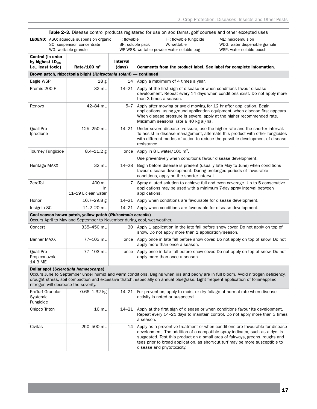| Table 2-3. Disease control products registered for use on sod farms, golf courses and other excepted uses |                                                                                                                                         |                           |                                                                                                                                                                                                                                                                          |  |
|-----------------------------------------------------------------------------------------------------------|-----------------------------------------------------------------------------------------------------------------------------------------|---------------------------|--------------------------------------------------------------------------------------------------------------------------------------------------------------------------------------------------------------------------------------------------------------------------|--|
|                                                                                                           | <b>LEGEND:</b> ASO: aqueous suspension organic<br>SC: suspension concentrate<br>WG: wettable granule                                    |                           | F: flowable<br>FF: flowable fungicide<br>ME: microemulsion<br>SP: soluble pack<br>W: wettable<br>WDG: water dispersible granule<br>WP WSB: wettable powder water soluble bag<br>WSP: water soluble pouch                                                                 |  |
| Control (in order<br>by highest $LD_{50}$ ,<br>i.e., least toxic)                                         | Rate/100 $m2$                                                                                                                           | <b>Interval</b><br>(days) | Comments from the product label. See label for complete information.                                                                                                                                                                                                     |  |
|                                                                                                           | Brown patch, rhizoctonia blight (Rhizoctonia solani) — continued                                                                        |                           |                                                                                                                                                                                                                                                                          |  |
| Eagle WSP                                                                                                 | 18 <sub>g</sub>                                                                                                                         | 14                        | Apply a maximum of 4 times a year.                                                                                                                                                                                                                                       |  |
| Premis 200 F                                                                                              | 32 mL                                                                                                                                   | $14 - 21$                 | Apply at the first sign of disease or when conditions favour disease<br>development. Repeat every 14 days when conditions exist. Do not apply more<br>than 3 times a season.                                                                                             |  |
| Renovo                                                                                                    | 42-84 mL                                                                                                                                | $5 - 7$                   | Apply after mowing or avoid mowing for 12 hr after application. Begin<br>applications, using ground application equipment, when disease first appears.<br>When disease pressure is severe, apply at the higher recommended rate.<br>Maximum seasonal rate 8.40 kg ai/ha. |  |
| Quali-Pro<br>Iprodione                                                                                    | 125-250 mL                                                                                                                              | $14 - 21$                 | Under severe disease pressure, use the higher rate and the shorter interval.<br>To assist in disease management, alternate this product with other fungicides<br>with different modes of action to reduce the possible development of disease<br>resistance.             |  |
| Tourney Fungicide                                                                                         | $8.4 - 11.2$ g                                                                                                                          | once                      | Apply in 8 L water/100 $m^2$ .                                                                                                                                                                                                                                           |  |
|                                                                                                           |                                                                                                                                         |                           | Use preventively when conditions favour disease development.                                                                                                                                                                                                             |  |
| Heritage MAXX                                                                                             | 32 mL                                                                                                                                   | $14 - 28$                 | Begin before disease is present (usually late May to June) when conditions<br>favour disease development. During prolonged periods of favourable<br>conditions, apply on the shorter interval.                                                                           |  |
| ZeroTol                                                                                                   | 400 mL<br>in<br>11-19 L clean water                                                                                                     | 7                         | Spray diluted solution to achieve full and even coverage. Up to 5 consecutive<br>applications may be used with a minimum 7-day spray interval between<br>applications.                                                                                                   |  |
| Honor                                                                                                     | $16.7 - 29.8$ g                                                                                                                         | $14 - 21$                 | Apply when conditions are favourable for disease development.                                                                                                                                                                                                            |  |
| Insignia SC                                                                                               | 11.2-20 mL                                                                                                                              | $14 - 21$                 | Apply when conditions are favourable for disease development.                                                                                                                                                                                                            |  |
|                                                                                                           | Cool season brown patch, yellow patch (Rhizoctonia cerealis)<br>Occurs April to May and September to November during cool, wet weather. |                           |                                                                                                                                                                                                                                                                          |  |
| Concert                                                                                                   | 335-450 mL                                                                                                                              | 30                        | Apply 1 application in the late fall before snow cover. Do not apply on top of<br>snow. Do not apply more than 1 application/season.                                                                                                                                     |  |
|                                                                                                           |                                                                                                                                         |                           |                                                                                                                                                                                                                                                                          |  |

| Banner MAXX                | 77-103 mL | once   Apply once in late fall before snow cover. Do not apply on top of snow. Do not<br>apply more than once a season. |
|----------------------------|-----------|-------------------------------------------------------------------------------------------------------------------------|
| Ouali-Pro<br>Propiconazole | 77-103 mL | once   Apply once in late fall before snow cover. Do not apply on top of snow. Do not<br>apply more than once a season. |

#### Dollar spot (*Sclerotinia homoeocarpa*)

14.3 ME

Occurs June to September under humid and warm conditions. Begins when iris and peony are in full bloom. Avoid nitrogen deficiency, drought stress, soil compaction and excessive thatch, especially on annual bluegrass. Light frequent application of foliar-applied nitrogen will decrease the severity.

| <b>ProTurf Granular</b><br>Systemic<br>Fungicide | $0.66 - 1.32$ kg | 14–21 | For prevention, apply to moist or dry foliage at normal rate when disease<br>activity is noted or suspected.                                                                                                                                                                                                                                                 |
|--------------------------------------------------|------------------|-------|--------------------------------------------------------------------------------------------------------------------------------------------------------------------------------------------------------------------------------------------------------------------------------------------------------------------------------------------------------------|
| Chipco Triton                                    | $16 \text{ mL}$  | 14–21 | Apply at the first sign of disease or when conditions favour its development.<br>Repeat every 14–21 days to maintain control. Do not apply more than 3 times<br>a season.                                                                                                                                                                                    |
| Civitas                                          | 250–500 ml       | 14    | Apply as a preventive treatment or when conditions are favourable for disease<br>development. The addition of a compatible spray indicator, such as a dye, is<br>suggested. Test this product on a small area of fairways, greens, roughs and<br>tees prior to broad application, as short-cut turf may be more susceptible to<br>disease and phytotoxicity. |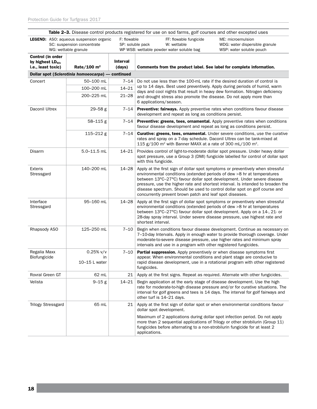| <b>Table 2–3.</b> Disease control products registered for use on sod farms, golf courses and other excepted uses |                                                                                                      |                           |                                                                                                                                                                                                                                                                                                                                                                                                                                                                   |  |
|------------------------------------------------------------------------------------------------------------------|------------------------------------------------------------------------------------------------------|---------------------------|-------------------------------------------------------------------------------------------------------------------------------------------------------------------------------------------------------------------------------------------------------------------------------------------------------------------------------------------------------------------------------------------------------------------------------------------------------------------|--|
|                                                                                                                  | <b>LEGEND:</b> ASO: aqueous suspension organic<br>SC: suspension concentrate<br>WG: wettable granule | F: flowable               | FF: flowable fungicide<br>ME: microemulsion<br>SP: soluble pack<br>W: wettable<br>WDG: water dispersible granule<br>WP WSB: wettable powder water soluble bag<br>WSP: water soluble pouch                                                                                                                                                                                                                                                                         |  |
| Control (in order<br>by highest $LD_{50}$ ,<br>i.e., least toxic)                                                | Rate/100 $m2$                                                                                        | <b>Interval</b><br>(days) | Comments from the product label. See label for complete information.                                                                                                                                                                                                                                                                                                                                                                                              |  |
|                                                                                                                  | Dollar spot (Sclerotinia homoeocarpa) - continued                                                    |                           |                                                                                                                                                                                                                                                                                                                                                                                                                                                                   |  |
| Concert                                                                                                          | 50-100 mL                                                                                            | $7 - 14$                  | Do not use less than the 100-mL rate if the desired duration of control is                                                                                                                                                                                                                                                                                                                                                                                        |  |
|                                                                                                                  | 100-200 mL                                                                                           | $14 - 21$                 | up to 14 days. Best used preventively. Apply during periods of humid, warm<br>days and cool nights that result in heavy dew formation. Nitrogen deficiency                                                                                                                                                                                                                                                                                                        |  |
|                                                                                                                  | 200-225 mL                                                                                           | $21 - 28$                 | and drought stress also promote the disease. Do not apply more than<br>6 applications/season.                                                                                                                                                                                                                                                                                                                                                                     |  |
| Daconil Ultrex                                                                                                   | $29 - 58$ g                                                                                          | 7–14                      | Preventive: fairways. Apply preventive rates when conditions favour disease<br>development and repeat as long as conditions persist.                                                                                                                                                                                                                                                                                                                              |  |
|                                                                                                                  | $58 - 115$ g                                                                                         | 7–14                      | <b>Preventive: greens, tees, ornamental.</b> Apply preventive rates when conditions<br>favour disease development and repeat as long as conditions persist.                                                                                                                                                                                                                                                                                                       |  |
|                                                                                                                  | $115 - 212$ g                                                                                        | 7–14                      | <b>Curative: greens, tees, ornamental.</b> Under severe conditions, use the curative<br>rates and spray on a 7-day schedule. Daconil Ultrex can be tank-mixed at<br>115 $g/100$ m <sup>2</sup> with Banner MAXX at a rate of 300 mL/100 m <sup>2</sup> .                                                                                                                                                                                                          |  |
| Disarm                                                                                                           | $5.0 - 11.5$ mL                                                                                      | $14 - 21$                 | Provides control of light-to-moderate dollar spot pressure. Under heavy dollar<br>spot pressure, use a Group 3 (DMI) fungicide labelled for control of dollar spot<br>with this fungicide.                                                                                                                                                                                                                                                                        |  |
| <b>Exteris</b><br>Stressgard                                                                                     | 140-200 mL                                                                                           | $14 - 28$                 | Apply at the first sign of dollar spot symptoms or preventively when stressful<br>environmental conditions (extended periods of dew >8 hr at temperatures<br>between 13°C-27°C) favour dollar spot development. Under severe disease<br>pressure, use the higher rate and shortest interval. Is intended to broaden the<br>disease spectrum. Should be used to control dollar spot on golf course and<br>concurrently prevent brown patch and leaf spot diseases. |  |
| Interface<br>Stressgard                                                                                          | 95-160 mL                                                                                            | $14 - 28$                 | Apply at the first sign of dollar spot symptoms or preventively when stressful<br>environmental conditions (extended periods of dew >8 hr at temperatures<br>between 13°C-27°C) favour dollar spot development. Apply on a 14-, 21- or<br>28-day spray interval. Under severe disease pressure, use highest rate and<br>shortest interval.                                                                                                                        |  |
| Rhapsody ASO                                                                                                     | 125-250 mL                                                                                           | 7–10                      | Begin when conditions favour disease development. Continue as necessary on<br>7-10-day Intervals. Apply in enough water to provide thorough coverage. Under<br>moderate-to-severe disease pressure, use higher rates and minimum spray<br>intervals and use in a program with other registered fungicides.                                                                                                                                                        |  |
| Regalia Maxx<br>Biofungicide                                                                                     | $0.25%$ v/v<br>in<br>10-15 L water                                                                   | 7–10                      | Partial suppression. Apply preventively or when disease symptoms first<br>appear. When environmental conditions and plant stage are conducive to<br>rapid disease development, use in a rotational program with other registered<br>fungicides.                                                                                                                                                                                                                   |  |
| Rovral Green GT                                                                                                  | 62 mL                                                                                                | 21                        | Apply at the first signs. Repeat as required. Alternate with other fungicides.                                                                                                                                                                                                                                                                                                                                                                                    |  |
| Velista                                                                                                          | $9 - 15g$                                                                                            | 14–21                     | Begin application at the early stage of disease development. Use the high<br>rate for moderate-to-high disease pressure and/or for curative situations. The<br>interval for golf greens and tees is 14 days. The interval for golf fairways and<br>other turf is 14-21 days.                                                                                                                                                                                      |  |
| <b>Trilogy Stressgard</b>                                                                                        | 65 mL                                                                                                | 21                        | Apply at the first sign of dollar spot or when environmental conditions favour<br>dollar spot development.                                                                                                                                                                                                                                                                                                                                                        |  |
|                                                                                                                  |                                                                                                      |                           | Maximum of 2 applications during dollar spot infection period. Do not apply<br>more than 2 sequential applications of Trilogy or other strobilurin (Group 11)<br>fungicides before alternating to a non-strobilurin fungicide for at least 2<br>applications.                                                                                                                                                                                                     |  |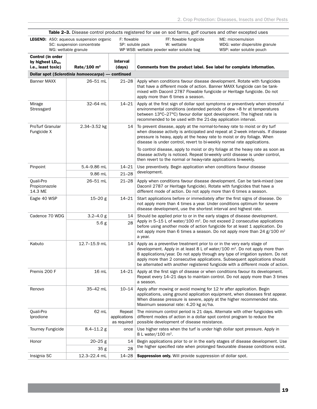| Table 2-3. Disease control products registered for use on sod farms, golf courses and other excepted uses |                                                                                                                                         |                                       |                                                                                                                                                                                                                                                                                                                                                                                                               |                                                                                 |
|-----------------------------------------------------------------------------------------------------------|-----------------------------------------------------------------------------------------------------------------------------------------|---------------------------------------|---------------------------------------------------------------------------------------------------------------------------------------------------------------------------------------------------------------------------------------------------------------------------------------------------------------------------------------------------------------------------------------------------------------|---------------------------------------------------------------------------------|
|                                                                                                           | F: flowable<br><b>LEGEND:</b> ASO: aqueous suspension organic<br>SP: soluble pack<br>SC: suspension concentrate<br>WG: wettable granule |                                       | FF: flowable fungicide<br>W: wettable<br>WP WSB: wettable powder water soluble bag                                                                                                                                                                                                                                                                                                                            | ME: microemulsion<br>WDG: water dispersible granule<br>WSP: water soluble pouch |
| Control (in order                                                                                         |                                                                                                                                         |                                       |                                                                                                                                                                                                                                                                                                                                                                                                               |                                                                                 |
| by highest $LD_{50}$ ,                                                                                    |                                                                                                                                         | <b>Interval</b>                       |                                                                                                                                                                                                                                                                                                                                                                                                               |                                                                                 |
| i.e., least toxic)                                                                                        | Rate/100 $m2$                                                                                                                           | (days)                                | Comments from the product label. See label for complete information.                                                                                                                                                                                                                                                                                                                                          |                                                                                 |
|                                                                                                           | Dollar spot (Sclerotinia homoeocarpa) — continued                                                                                       |                                       |                                                                                                                                                                                                                                                                                                                                                                                                               |                                                                                 |
| <b>Banner MAXX</b>                                                                                        | 26-51 mL                                                                                                                                | $21 - 28$                             | Apply when conditions favour disease development. Rotate with fungicides<br>that have a different mode of action. Banner MAXX fungicide can be tank-<br>mixed with Daconil 2787 Flowable fungicide or Heritage fungicide. Do not<br>apply more than 6 times a season.                                                                                                                                         |                                                                                 |
| Mirage<br>Stressgard                                                                                      | 32-64 mL                                                                                                                                | 14–21                                 | Apply at the first sign of dollar spot symptoms or preventively when stressful<br>environmental conditions (extended periods of dew >8 hr at temperatures<br>between 13°C-27°C) favour dollar spot development. The highest rate is<br>recommended to be used with the 21-day application interval.                                                                                                           |                                                                                 |
| ProTurf Granular<br>Fungicide X                                                                           | 2.34-3.52 kg                                                                                                                            | 14                                    | To prevent disease, apply at the normal-to-heavy rate to moist or dry turf<br>when disease activity is anticipated and repeat at 2-week intervals. If disease<br>pressure is heavy, apply at the heavy rate to moist or dry foliage. When<br>disease is under control, revert to bi-weekly normal rate applications.                                                                                          |                                                                                 |
|                                                                                                           |                                                                                                                                         |                                       | To control disease, apply to moist or dry foliage at the heavy rate as soon as<br>disease activity is noticed. Repeat bi-weekly until disease is under control,<br>then revert to the normal or heavy-rate applications bi-weekly.                                                                                                                                                                            |                                                                                 |
| Pinpoint                                                                                                  | 5.4-9.86 mL                                                                                                                             | $14 - 21$                             | Use preventively. Begin application when conditions favour disease<br>development.                                                                                                                                                                                                                                                                                                                            |                                                                                 |
|                                                                                                           | 9.86 mL                                                                                                                                 | $21 - 28$                             |                                                                                                                                                                                                                                                                                                                                                                                                               |                                                                                 |
| Quali-Pro<br>Propiconazole<br>14.3 ME                                                                     | 26-51 mL                                                                                                                                | $21 - 28$                             | Apply when conditions favour disease development. Can be tank-mixed (see<br>Daconil 2787 or Heritage fungicide). Rotate with fungicides that have a<br>different mode of action. Do not apply more than 6 times a season.                                                                                                                                                                                     |                                                                                 |
| Eagle 40 WSP                                                                                              | $15 - 20$ g                                                                                                                             | 14–21                                 | Start applications before or immediately after the first signs of disease. Do<br>not apply more than 4 times a year. Under conditions optimum for severe<br>disease development, use the shortest interval and highest rate.                                                                                                                                                                                  |                                                                                 |
| Cadence 70 WDG                                                                                            | $3.2 - 4.0 g$                                                                                                                           | 14                                    | Should be applied prior to or in the early stages of disease development.                                                                                                                                                                                                                                                                                                                                     |                                                                                 |
|                                                                                                           | 5.6 g                                                                                                                                   | 28                                    | Apply in 5-15 L of water/100 $m^2$ . Do not exceed 2 consecutive applications<br>before using another mode of action fungicide for at least 1 application. Do<br>not apply more than 6 times a season. Do not apply more than 24 g/100 m <sup>2</sup><br>a year.                                                                                                                                              |                                                                                 |
| Kabuto                                                                                                    | 12.7-15.9 mL                                                                                                                            | 14                                    | Apply as a preventive treatment prior to or in the very early stage of<br>development. Apply in at least 8 L of water/100 $m^2$ . Do not apply more than<br>8 applications/year. Do not apply through any type of irrigation system. Do not<br>apply more than 2 consecutive applications. Subsequent applications should<br>be alternated with another registered fungicide with a different mode of action. |                                                                                 |
| Premis 200 F                                                                                              | 16 mL                                                                                                                                   | $14 - 21$                             | Apply at the first sign of disease or when conditions favour its development.<br>Repeat every 14–21 days to maintain control. Do not apply more than 3 times<br>a season.                                                                                                                                                                                                                                     |                                                                                 |
| Renovo                                                                                                    | 35-42 mL                                                                                                                                | $10 - 14$                             | Apply after mowing or avoid mowing for 12 hr after application. Begin<br>applications, using ground application equipment, when diseases first appear.<br>When disease pressure is severe, apply at the higher recommended rate.<br>Maximum seasonal rate: 4.20 kg ai/ha.                                                                                                                                     |                                                                                 |
| Quali-Pro<br>Iprodione                                                                                    | 62 mL                                                                                                                                   | Repeat<br>applications<br>as required | The minimum control period is 21 days. Alternate with other fungicides with<br>different modes of action in a dollar spot control program to reduce the<br>possible development of disease resistance.                                                                                                                                                                                                        |                                                                                 |
| <b>Tourney Fungicide</b>                                                                                  | $8.4 - 11.2$ g                                                                                                                          | once                                  | Use higher rates when the turf is under high dollar spot pressure. Apply in<br>8 L water/100 m <sup>2</sup> .                                                                                                                                                                                                                                                                                                 |                                                                                 |
| Honor                                                                                                     | $20 - 25$ g                                                                                                                             | 14                                    | Begin applications prior to or in the early stages of disease development. Use                                                                                                                                                                                                                                                                                                                                |                                                                                 |
|                                                                                                           | 35 g                                                                                                                                    | 28                                    | the higher specified rate when prolonged favourable disease conditions exist.                                                                                                                                                                                                                                                                                                                                 |                                                                                 |
| Insignia SC                                                                                               | 12.3-22.4 mL                                                                                                                            | 14-28                                 | <b>Suppression only.</b> Will provide suppression of dollar spot.                                                                                                                                                                                                                                                                                                                                             |                                                                                 |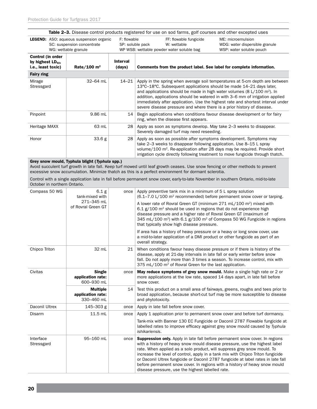|                                                                   |                                                                                                      |                           | Table 2-3. Disease control products registered for use on sod farms, golf courses and other excepted uses                                                                                                                                                                                                               |                                                                                                                                                                 |
|-------------------------------------------------------------------|------------------------------------------------------------------------------------------------------|---------------------------|-------------------------------------------------------------------------------------------------------------------------------------------------------------------------------------------------------------------------------------------------------------------------------------------------------------------------|-----------------------------------------------------------------------------------------------------------------------------------------------------------------|
|                                                                   | <b>LEGEND:</b> ASO: aqueous suspension organic<br>SC: suspension concentrate<br>WG: wettable granule | F: flowable               | FF: flowable fungicide<br>SP: soluble pack<br>W: wettable<br>WP WSB: wettable powder water soluble bag                                                                                                                                                                                                                  | ME: microemulsion<br>WDG: water dispersible granule<br>WSP: water soluble pouch                                                                                 |
| Control (in order<br>by highest $LD_{50}$ ,<br>i.e., least toxic) | Rate/100 $m2$                                                                                        | <b>Interval</b><br>(days) | Comments from the product label. See label for complete information.                                                                                                                                                                                                                                                    |                                                                                                                                                                 |
| <b>Fairy ring</b>                                                 |                                                                                                      |                           |                                                                                                                                                                                                                                                                                                                         |                                                                                                                                                                 |
| Mirage<br>Stressgard                                              | 32-64 mL                                                                                             | $14 - 21$                 | 13°C-18°C. Subsequent applications should be made 14-21 days later,<br>and applications should be made in high water volumes (8 L/100 m <sup>2</sup> ). In<br>addition, applications should be watered in with 3–6 mm of irrigation applied<br>severe disease pressure and where there is a prior history of disease.   | Apply in the spring when average soil temperatures at 5-cm depth are between<br>immediately after application. Use the highest rate and shortest interval under |
| Pinpoint                                                          | 9.86 mL                                                                                              | 14                        | Begin applications when conditions favour disease development or for fairy<br>ring, when the disease first appears.                                                                                                                                                                                                     |                                                                                                                                                                 |
| Heritage MAXX                                                     | 63 mL                                                                                                | 28                        | Apply as soon as symptoms develop. May take 2–3 weeks to disappear.<br>Severely damaged turf may need reseeding.                                                                                                                                                                                                        |                                                                                                                                                                 |
| Honor                                                             | 33.6 g                                                                                               | 28                        | Apply as soon as possible after symptoms development. Symptoms may<br>take 2–3 weeks to disappear following application. Use 8–15 L spray<br>volume/100 m <sup>2</sup> . Re-application after 28 days may be required. Provide short<br>irrigation cycle directly following treatment to move fungicide through thatch. |                                                                                                                                                                 |
|                                                                   | Grey snow mould, Typhula blight (Typhula spp.)                                                       |                           | Avoid succulent turf growth in late fall. Keep turf mowed until leaf growth ceases. Use snow fencing or other methods to prevent<br>excessive snow accumulation. Minimize thatch as this is a perfect environment for dormant sclerotia.                                                                                |                                                                                                                                                                 |
| October in northern Ontario.                                      |                                                                                                      |                           | Control with a single application late in fall before permanent snow cover, early-to-late November in southern Ontario, mid-to-late                                                                                                                                                                                     |                                                                                                                                                                 |
| Compass 50 WG                                                     | 6.1 <sub>g</sub>                                                                                     | once                      | Apply preventive tank mix in a minimum of 5 L spray solution                                                                                                                                                                                                                                                            |                                                                                                                                                                 |

| Compass 50 WG           | 6.1 <sub>g</sub><br>tank-mixed with                | once | Apply preventive tank mix in a minimum of 5 L spray solution<br>$(6.1 - 7.0 \text{ L}/100 \text{ m}^2 \text{ recommended})$ before permanent snow cover or tarping.                                                                                                                                                                                                                                                                                                                                                                                    |
|-------------------------|----------------------------------------------------|------|--------------------------------------------------------------------------------------------------------------------------------------------------------------------------------------------------------------------------------------------------------------------------------------------------------------------------------------------------------------------------------------------------------------------------------------------------------------------------------------------------------------------------------------------------------|
|                         | 271-345 mL<br>of Rovral Green GT                   |      | A lower rate of Rovral Green GT (minimum 271 mL/100 m <sup>2</sup> ) mixed with<br>$6.1$ g/100 m <sup>2</sup> should be used in regions that do not experience high<br>disease pressure and a higher rate of Rovral Green GT (maximum of<br>345 mL/100 m <sup>2</sup> ) with 6.1 g/100 m <sup>2</sup> of Compass 50 WG Fungicide in regions<br>that typically show high disease pressure.                                                                                                                                                              |
|                         |                                                    |      | If area has a history of heavy pressure or a heavy or long snow cover, use<br>a mid-to-later application of a DMI product or other fungicide as part of an<br>overall strategy.                                                                                                                                                                                                                                                                                                                                                                        |
| Chipco Triton           | 32 mL                                              | 21   | When conditions favour heavy disease pressure or if there is history of the<br>disease, apply at 21-day intervals in late fall or early winter before snow<br>fall. Do not apply more than 3 times a season. To increase control, mix with<br>375 mL/100 m <sup>2</sup> of Rovral Green for the last application.                                                                                                                                                                                                                                      |
| Civitas                 | <b>Single</b><br>application rate:<br>600-930 mL   | once | <b>May reduce symptoms of grey snow mould.</b> Make a single high rate or 2 or<br>more applications at the low rate, spaced 14 days apart, in late fall before<br>snow cover.                                                                                                                                                                                                                                                                                                                                                                          |
|                         | <b>Multiple</b><br>application rate:<br>330-460 mL | 14   | Test this product on a small area of fairways, greens, roughs and tees prior to<br>broad application, because short-cut turf may be more susceptible to disease<br>and phytotoxicity.                                                                                                                                                                                                                                                                                                                                                                  |
| Daconil Ultrex          | 145-303 g                                          | once | Apply in late fall before snow cover.                                                                                                                                                                                                                                                                                                                                                                                                                                                                                                                  |
| Disarm                  | 11.5 mL                                            | once | Apply 1 application prior to permanent snow cover and before turf dormancy.                                                                                                                                                                                                                                                                                                                                                                                                                                                                            |
|                         |                                                    |      | Tank-mix with Banner 130 EC Fungicide or Daconil 2787 Flowable fungicide at<br>labelled rates to improve efficacy against grey snow mould caused by Typhula<br>ishikariensis.                                                                                                                                                                                                                                                                                                                                                                          |
| Interface<br>Stressgard | 95-160 mL                                          | once | <b>Suppression only.</b> Apply in late fall before permanent snow cover. In regions<br>with a history of heavy snow mould disease pressure, use the highest label<br>rate. When applied as a solo product, will suppress grey snow mould. To<br>increase the level of control, apply in a tank mix with Chipco Triton fungicide<br>or Daconil Ultrex fungicide or Daconil 2787 fungicide at label rates in late fall<br>before permanent snow cover. In regions with a history of heavy snow mould<br>disease pressure, use the highest labelled rate. |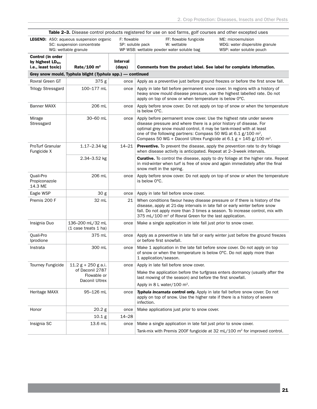|                                                                          |                                                                                                      |                                 | Table 2-3. Disease control products registered for use on sod farms, golf courses and other excepted uses                                                                                                                                                                                                                                                                            |                                                                                          |
|--------------------------------------------------------------------------|------------------------------------------------------------------------------------------------------|---------------------------------|--------------------------------------------------------------------------------------------------------------------------------------------------------------------------------------------------------------------------------------------------------------------------------------------------------------------------------------------------------------------------------------|------------------------------------------------------------------------------------------|
|                                                                          | <b>LEGEND:</b> ASO: aqueous suspension organic<br>SC: suspension concentrate<br>WG: wettable granule | F: flowable<br>SP: soluble pack | FF: flowable fungicide<br>W: wettable<br>WP WSB: wettable powder water soluble bag                                                                                                                                                                                                                                                                                                   | ME: microemulsion<br>WDG: water dispersible granule<br>WSP: water soluble pouch          |
| Control (in order<br>by highest LD <sub>50</sub> ,<br>i.e., least toxic) | Rate/100 $m2$                                                                                        | <b>Interval</b><br>(days)       | Comments from the product label. See label for complete information.                                                                                                                                                                                                                                                                                                                 |                                                                                          |
|                                                                          | Grey snow mould, Typhula blight (Typhula spp.) - continued                                           |                                 |                                                                                                                                                                                                                                                                                                                                                                                      |                                                                                          |
| Rovral Green GT                                                          | 375g                                                                                                 | once                            | Apply as a preventive just before ground freezes or before the first snow fall.                                                                                                                                                                                                                                                                                                      |                                                                                          |
| <b>Trilogy Stressgard</b>                                                | 100-177 mL                                                                                           | once                            | Apply in late fall before permanent snow cover. In regions with a history of<br>heavy snow mould disease pressure, use the highest labelled rate. Do not<br>apply on top of snow or when temperature is below O°C.                                                                                                                                                                   |                                                                                          |
| <b>Banner MAXX</b>                                                       | 206 mL                                                                                               | once                            | is below 0°C.                                                                                                                                                                                                                                                                                                                                                                        | Apply before snow cover. Do not apply on top of snow or when the temperature             |
| Mirage<br>Stressgard                                                     | 30-60 mL                                                                                             | once                            | Apply before permanent snow cover. Use the highest rate under severe<br>disease pressure and where there is a prior history of disease. For<br>optimal grey snow mould control, it may be tank-mixed with at least<br>one of the following partners: Compass 50 WG at 6.1 g/100 m <sup>2</sup> ,<br>Compass 50 WG + Daconil Ultrex Fungicide at $6.1$ g + 145 g/100 m <sup>2</sup> . |                                                                                          |
| <b>ProTurf Granular</b><br>Fungicide X                                   | $1.17 - 2.34$ kg                                                                                     | $14 - 21$                       | <b>Preventive.</b> To prevent the disease, apply the prevention rate to dry foliage<br>when disease activity is anticipated. Repeat at 2-3-week intervals.                                                                                                                                                                                                                           |                                                                                          |
|                                                                          | 2.34-3.52 kg                                                                                         |                                 | in mid-winter when turf is free of snow and again immediately after the final<br>snow melt in the spring.                                                                                                                                                                                                                                                                            | <b>Curative.</b> To control the disease, apply to dry foliage at the higher rate. Repeat |
| Quali-Pro<br>Propiconazole<br>14.3 ME                                    | 206 mL                                                                                               | once                            | is below 0°C.                                                                                                                                                                                                                                                                                                                                                                        | Apply before snow cover. Do not apply on top of snow or when the temperature             |
| Eagle WSP                                                                | 30 g                                                                                                 | once                            | Apply in late fall before snow cover.                                                                                                                                                                                                                                                                                                                                                |                                                                                          |
| Premis 200 F                                                             | 32 mL                                                                                                | 21                              | When conditions favour heavy disease pressure or if there is history of the<br>disease, apply at 21-day intervals in late fall or early winter before snow<br>fall. Do not apply more than 3 times a season. To increase control, mix with<br>375 mL/100 m <sup>2</sup> of Rovral Green for the last application.                                                                    |                                                                                          |
| Insignia Duo                                                             | 136-200 mL/32 mL<br>(1 case treats 1 ha)                                                             | once                            | Make a single application in late fall just prior to snow cover.                                                                                                                                                                                                                                                                                                                     |                                                                                          |
| Quali-Pro<br>Iprodione                                                   | 375 mL                                                                                               | once                            | Apply as a preventive in late fall or early winter just before the ground freezes<br>or before first snowfall.                                                                                                                                                                                                                                                                       |                                                                                          |
| Instrata                                                                 | 300 mL                                                                                               | once                            | Make 1 application in the late fall before snow cover. Do not apply on top<br>of snow or when the temperature is below 0°C. Do not apply more than<br>1 application/season.                                                                                                                                                                                                          |                                                                                          |
| Tourney Fungicide                                                        | $11.2 g + 250 g$ a.i.                                                                                | once                            | Apply in late fall before snow cover.                                                                                                                                                                                                                                                                                                                                                |                                                                                          |
|                                                                          | of Daconil 2787<br>Flowable or<br>Daconil Ultrex                                                     |                                 | Make the application before the turfgrass enters dormancy (usually after the<br>last mowing of the season) and before the first snowfall.                                                                                                                                                                                                                                            |                                                                                          |
|                                                                          |                                                                                                      |                                 | Apply in 8 L water/100 m <sup>2</sup> .                                                                                                                                                                                                                                                                                                                                              |                                                                                          |
| Heritage MAXX                                                            | 95-126 mL                                                                                            | once                            | Typhula incarnata control only. Apply in late fall before snow cover. Do not<br>apply on top of snow. Use the higher rate if there is a history of severe<br>infection.                                                                                                                                                                                                              |                                                                                          |
| Honor                                                                    | 20.2 g                                                                                               | once                            | Make applications just prior to snow cover.                                                                                                                                                                                                                                                                                                                                          |                                                                                          |
|                                                                          | 10.1 g                                                                                               | $14 - 28$                       |                                                                                                                                                                                                                                                                                                                                                                                      |                                                                                          |
| Insignia SC                                                              | 13.6 mL                                                                                              | once                            | Make a single application in late fall just prior to snow cover.                                                                                                                                                                                                                                                                                                                     |                                                                                          |
|                                                                          |                                                                                                      |                                 | Tank-mix with Premis 200F fungicide at 32 mL/100 m <sup>2</sup> for improved control.                                                                                                                                                                                                                                                                                                |                                                                                          |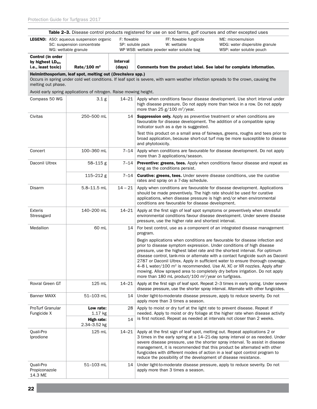| Table 2-3. Disease control products registered for use on sod farms, golf courses and other excepted uses |                                                                   |             |                                                                                                                                                                                                                                                                                                                                                                                                                                                                                                                                                                                                                                                     |
|-----------------------------------------------------------------------------------------------------------|-------------------------------------------------------------------|-------------|-----------------------------------------------------------------------------------------------------------------------------------------------------------------------------------------------------------------------------------------------------------------------------------------------------------------------------------------------------------------------------------------------------------------------------------------------------------------------------------------------------------------------------------------------------------------------------------------------------------------------------------------------------|
|                                                                                                           | <b>LEGEND:</b> ASO: aqueous suspension organic                    | F: flowable | FF: flowable fungicide<br>ME: microemulsion                                                                                                                                                                                                                                                                                                                                                                                                                                                                                                                                                                                                         |
|                                                                                                           | SC: suspension concentrate<br>WG: wettable granule                |             | SP: soluble pack<br>W: wettable<br>WDG: water dispersible granule<br>WP WSB: wettable powder water soluble bag<br>WSP: water soluble pouch                                                                                                                                                                                                                                                                                                                                                                                                                                                                                                          |
| Control (in order                                                                                         |                                                                   |             |                                                                                                                                                                                                                                                                                                                                                                                                                                                                                                                                                                                                                                                     |
| by highest $LD_{50}$ ,                                                                                    |                                                                   | Interval    |                                                                                                                                                                                                                                                                                                                                                                                                                                                                                                                                                                                                                                                     |
| i.e., least toxic)                                                                                        | Rate/100 $m2$                                                     | (days)      | Comments from the product label. See label for complete information.                                                                                                                                                                                                                                                                                                                                                                                                                                                                                                                                                                                |
|                                                                                                           | Helminthosporium, leaf spot, melting out (Drechslera spp.)        |             | Occurs in spring under cold wet conditions. If leaf spot is severe, with warm weather infection spreads to the crown, causing the                                                                                                                                                                                                                                                                                                                                                                                                                                                                                                                   |
| melting out phase.                                                                                        |                                                                   |             |                                                                                                                                                                                                                                                                                                                                                                                                                                                                                                                                                                                                                                                     |
|                                                                                                           | Avoid early spring applications of nitrogen. Raise mowing height. |             |                                                                                                                                                                                                                                                                                                                                                                                                                                                                                                                                                                                                                                                     |
| Compass 50 WG                                                                                             | 3.1 <sub>g</sub>                                                  | $14 - 21$   | Apply when conditions favour disease development. Use short interval under<br>high disease pressure. Do not apply more than twice in a row. Do not apply<br>more than 25 $g/100$ m <sup>2</sup> /year.                                                                                                                                                                                                                                                                                                                                                                                                                                              |
| Civitas                                                                                                   | 250–500 mL                                                        | 14          | <b>Suppression only.</b> Apply as preventive treatment or when conditions are<br>favourable for disease development. The addition of a compatible spray<br>indicator such as a dye is suggested.                                                                                                                                                                                                                                                                                                                                                                                                                                                    |
|                                                                                                           |                                                                   |             | Test this product on a small area of fairways, greens, roughs and tees prior to<br>broad application, because short-cut turf may be more susceptible to disease<br>and phytotoxicity.                                                                                                                                                                                                                                                                                                                                                                                                                                                               |
| Concert                                                                                                   | 100-360 mL                                                        | 7–14        | Apply when conditions are favourable for disease development. Do not apply<br>more than 3 applications/season.                                                                                                                                                                                                                                                                                                                                                                                                                                                                                                                                      |
| Daconil Ultrex                                                                                            | 58-115g                                                           | 7–14        | Preventive: greens, tees. Apply when conditions favour disease and repeat as<br>long as the conditions persist.                                                                                                                                                                                                                                                                                                                                                                                                                                                                                                                                     |
|                                                                                                           | $115 - 212$ g                                                     | $7 - 14$    | <b>Curative: greens, tees.</b> Under severe disease conditions, use the curative<br>rates and spray on a 7-day schedule.                                                                                                                                                                                                                                                                                                                                                                                                                                                                                                                            |
| Disarm                                                                                                    | 5.8-11.5 mL                                                       | $14 - 21$   | Apply when conditions are favourable for disease development. Applications<br>should be made preventively. The high rate should be used for curative<br>applications, when disease pressure is high and/or when environmental<br>conditions are favourable for disease development.                                                                                                                                                                                                                                                                                                                                                                 |
| <b>Exteris</b><br>Stressgard                                                                              | 140–200 mL                                                        | $14 - 21$   | Apply at the first sign of leaf spot symptoms or preventively when stressful<br>environmental conditions favour disease development. Under severe disease<br>pressure, use the higher rate and shortest interval.                                                                                                                                                                                                                                                                                                                                                                                                                                   |
| Medallion                                                                                                 | 60 mL                                                             | 14          | For best control, use as a component of an integrated disease management<br>program.                                                                                                                                                                                                                                                                                                                                                                                                                                                                                                                                                                |
|                                                                                                           |                                                                   |             | Begin applications when conditions are favourable for disease infection and<br>prior to disease symptom expression. Under conditions of high disease<br>pressure, use the highest label rate and the shortest interval. For optimum<br>disease control, tank-mix or alternate with a contact fungicide such as Daconil<br>2787 or Daconil Ultrex. Apply in sufficient water to ensure thorough coverage.<br>4-8 L water/100 m <sup>2</sup> is recommended. Use AI, XC or XR nozzles. Apply after<br>mowing. Allow sprayed area to completely dry before irrigation. Do not apply<br>more than 180 mL product/100 m <sup>2</sup> /year on turfgrass. |
| Rovral Green GT                                                                                           | 125 mL                                                            | $14 - 21$   | Apply at the first sign of leaf spot. Repeat 2–3 times in early spring. Under severe<br>disease pressure, use the shorter spray interval. Alternate with other fungicides.                                                                                                                                                                                                                                                                                                                                                                                                                                                                          |
| <b>Banner MAXX</b>                                                                                        | 51-103 mL                                                         | 14          | Under light-to-moderate disease pressure, apply to reduce severity. Do not<br>apply more than 3 times a season.                                                                                                                                                                                                                                                                                                                                                                                                                                                                                                                                     |
| ProTurf Granular<br>Fungicide X                                                                           | Low rate:<br>1.17 kg                                              | 28          | Apply to moist or dry turf at the light rate to prevent disease. Repeat if<br>needed. Apply to moist or dry foliage at the higher rate when disease activity                                                                                                                                                                                                                                                                                                                                                                                                                                                                                        |
|                                                                                                           | High rate:<br>2.34-3.52 kg                                        | 14          | is first noticed. Repeat as needed at intervals not closer than 2 weeks.                                                                                                                                                                                                                                                                                                                                                                                                                                                                                                                                                                            |
| Quali-Pro<br>Iprodione                                                                                    | 125 mL                                                            | 14–21       | Apply at the first sign of leaf spot, melting out. Repeat applications 2 or<br>3 times in the early spring at a 14–21-day spray interval or as needed. Under<br>severe disease pressure, use the shorter spray interval. To assist in disease<br>management, it is recommended that this product be alternated with other<br>fungicides with different modes of action in a leaf spot control program to<br>reduce the possibility of the development of disease resistance.                                                                                                                                                                        |
| Quali-Pro<br>Propiconazole<br>14.3 ME                                                                     | 51-103 mL                                                         | 14          | Under light-to-moderate disease pressure, apply to reduce severity. Do not<br>apply more than 3 times a season.                                                                                                                                                                                                                                                                                                                                                                                                                                                                                                                                     |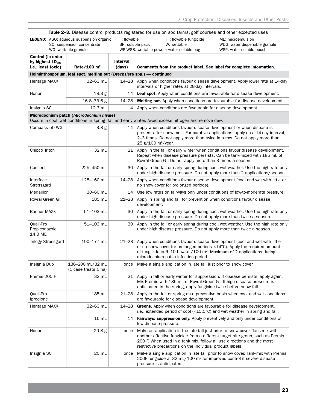| <b>Table 2–3.</b> Disease control products registered for use on sod farms, golf courses and other excepted uses                                   |                                                                                                      |                           |                                                                                                                                                                                                                                                                                                       |                                                                                 |
|----------------------------------------------------------------------------------------------------------------------------------------------------|------------------------------------------------------------------------------------------------------|---------------------------|-------------------------------------------------------------------------------------------------------------------------------------------------------------------------------------------------------------------------------------------------------------------------------------------------------|---------------------------------------------------------------------------------|
|                                                                                                                                                    | <b>LEGEND:</b> ASO: aqueous suspension organic<br>SC: suspension concentrate<br>WG: wettable granule | F: flowable               | FF: flowable fungicide<br>SP: soluble pack<br>W: wettable<br>WP WSB: wettable powder water soluble bag                                                                                                                                                                                                | ME: microemulsion<br>WDG: water dispersible granule<br>WSP: water soluble pouch |
| Control (in order                                                                                                                                  |                                                                                                      |                           |                                                                                                                                                                                                                                                                                                       |                                                                                 |
| by highest $LD_{50}$ ,<br>i.e., least toxic)                                                                                                       | Rate/100 $m2$                                                                                        | <b>Interval</b><br>(days) | Comments from the product label. See label for complete information.                                                                                                                                                                                                                                  |                                                                                 |
|                                                                                                                                                    | Helminthosporium, leaf spot, melting out (Drechslera spp.) - continued                               |                           |                                                                                                                                                                                                                                                                                                       |                                                                                 |
| Heritage MAXX                                                                                                                                      | 32-63 mL                                                                                             | 14–28                     | Apply when conditions favour disease development. Apply lower rate at 14-day<br>intervals or higher rates at 28-day intervals.                                                                                                                                                                        |                                                                                 |
| Honor                                                                                                                                              | 18.3 g                                                                                               | 14                        | <b>Leaf spot.</b> Apply when conditions are favourable for disease development.                                                                                                                                                                                                                       |                                                                                 |
|                                                                                                                                                    | 16.8-33.6 g                                                                                          | $14 - 28$                 | <b>Melting out.</b> Apply when conditions are favourable for disease development.                                                                                                                                                                                                                     |                                                                                 |
| Insignia SC                                                                                                                                        | 12.3 mL                                                                                              | 14                        | Apply when conditions are favourable for disease development.                                                                                                                                                                                                                                         |                                                                                 |
| Microdochium patch (Microdochium nivale)<br>Occurs in cool, wet conditions in spring, fall and early winter. Avoid excess nitrogen and remove dew. |                                                                                                      |                           |                                                                                                                                                                                                                                                                                                       |                                                                                 |
|                                                                                                                                                    |                                                                                                      |                           |                                                                                                                                                                                                                                                                                                       |                                                                                 |
| Compass 50 WG                                                                                                                                      | 3.8 <sub>g</sub>                                                                                     | 14                        | Apply when conditions favour disease development or when disease is<br>present after snow melt. For curative applications, apply on a 14-day interval,<br>2–3 times. Do not apply more than twice in a row. Do not apply more than<br>25 g/100 m <sup>2</sup> /year.                                  |                                                                                 |
| Chipco Triton                                                                                                                                      | 32 mL                                                                                                | 21                        | Apply in the fall or early winter when conditions favour disease development.<br>Repeat when disease pressure persists. Can be tank-mixed with 185 mL of<br>Rovral Green GT. Do not apply more than 3 times a season.                                                                                 |                                                                                 |
| Concert                                                                                                                                            | 225-450 mL                                                                                           | 30                        | Apply in the fall or early spring during cool, wet weather. Use the high rate only<br>under high disease pressure. Do not apply more than 2 applications/season.                                                                                                                                      |                                                                                 |
| Interface<br>Stressgard                                                                                                                            | 128-160 mL                                                                                           | $14 - 28$                 | Apply when conditions favour disease development (cool and wet with little or<br>no snow cover for prolonged periods).                                                                                                                                                                                |                                                                                 |
| Medallion                                                                                                                                          | 30-60 mL                                                                                             | 14                        | Use low rates on fairways only under conditions of low-to-moderate pressure.                                                                                                                                                                                                                          |                                                                                 |
| Rovral Green GT                                                                                                                                    | 185 mL                                                                                               | $21 - 28$                 | Apply in spring and fall for prevention when conditions favour disease<br>development.                                                                                                                                                                                                                |                                                                                 |
| <b>Banner MAXX</b>                                                                                                                                 | 51–103 mL                                                                                            | 30                        | Apply in the fall or early spring during cool, wet weather. Use the high rate only<br>under high disease pressure. Do not apply more than twice a season.                                                                                                                                             |                                                                                 |
| Quali-Pro<br>Propiconazole<br>14.3 ME                                                                                                              | 51–103 mL                                                                                            | 30                        | Apply in the fall or early spring during cool, wet weather. Use the high rate only<br>under high disease pressure. Do not apply more than twice a season.                                                                                                                                             |                                                                                 |
| <b>Trilogy Stressgard</b>                                                                                                                          | 100-177 mL                                                                                           | $21 - 28$                 | Apply when conditions favour disease development (cool and wet with little<br>or no snow cover for prolonged periods $<$ 14 $^{\circ}$ C). Apply the required amount<br>of fungicide in 6-10 L water/100 $m^2$ . Maximum of 2 applications during<br>microdochium patch infection period.             |                                                                                 |
| Insignia Duo                                                                                                                                       | 136-200 mL/32 mL<br>(1 case treats 1 ha)                                                             | once                      | Make a single application in late fall just prior to snow cover.                                                                                                                                                                                                                                      |                                                                                 |
| Premis 200 F                                                                                                                                       | 32 mL                                                                                                | 21                        | Apply in fall or early winter for suppression. If disease persists, apply again.<br>Mix Premis with 185 mL of Rovral Green GT. If high disease pressure is<br>anticipated in the spring, apply fungicide twice before snow fall.                                                                      |                                                                                 |
| Quali-Pro<br>Iprodione                                                                                                                             | 185 mL                                                                                               | $21 - 28$                 | Apply in the fall or spring on a preventive basis when cool and wet conditions<br>are favourable for disease development.                                                                                                                                                                             |                                                                                 |
| Heritage MAXX                                                                                                                                      | 32-63 mL                                                                                             | $14 - 28$                 | Greens. Apply when conditions are favourable for disease development,<br>i.e., extended period of cool $\left($ < 15.5 $\degree$ C) and wet weather in spring and fall.                                                                                                                               |                                                                                 |
|                                                                                                                                                    | 16 mL                                                                                                | 14                        | <b>Fairways: suppression only.</b> Apply preventively and only under conditions of<br>low disease pressure.                                                                                                                                                                                           |                                                                                 |
| Honor                                                                                                                                              | 29.8g                                                                                                | once                      | Make an application in the late fall just prior to snow cover. Tank-mix with<br>another effective fungicide from a different target site group, such as Premis<br>200 F. When used in a tank mix, follow all use directions and the most<br>restrictive precautions on the individual product labels. |                                                                                 |
| Insignia SC                                                                                                                                        | 20 mL                                                                                                | once                      | Make a single application in late fall prior to snow cover. Tank-mix with Premis<br>200F fungicide at 32 mL/100 $m2$ for improved control if severe disease<br>pressure is anticipated.                                                                                                               |                                                                                 |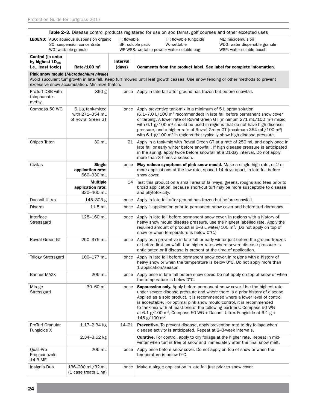|                                                                                                                                                                                                                            |                                                                                                                     |                           | Table 2-3. Disease control products registered for use on sod farms, golf courses and other excepted uses                                                                                                                                                                                                                                                                                                                                                                                                                                 |                                                                                 |
|----------------------------------------------------------------------------------------------------------------------------------------------------------------------------------------------------------------------------|---------------------------------------------------------------------------------------------------------------------|---------------------------|-------------------------------------------------------------------------------------------------------------------------------------------------------------------------------------------------------------------------------------------------------------------------------------------------------------------------------------------------------------------------------------------------------------------------------------------------------------------------------------------------------------------------------------------|---------------------------------------------------------------------------------|
|                                                                                                                                                                                                                            | F: flowable<br><b>LEGEND:</b> ASO: aqueous suspension organic<br>SC: suspension concentrate<br>WG: wettable granule |                           | FF: flowable fungicide<br>SP: soluble pack<br>W: wettable<br>WP WSB: wettable powder water soluble bag                                                                                                                                                                                                                                                                                                                                                                                                                                    | ME: microemulsion<br>WDG: water dispersible granule<br>WSP: water soluble pouch |
| Control (in order<br>by highest $LD_{50}$ ,<br>i.e., least toxic)                                                                                                                                                          | Rate/100 $m2$                                                                                                       | <b>Interval</b><br>(days) | Comments from the product label. See label for complete information.                                                                                                                                                                                                                                                                                                                                                                                                                                                                      |                                                                                 |
| Pink snow mould (Microdochium nivale)<br>Avoid succulent turf growth in late fall. Keep turf mowed until leaf growth ceases. Use snow fencing or other methods to prevent<br>excessive snow accumulation. Minimize thatch. |                                                                                                                     |                           |                                                                                                                                                                                                                                                                                                                                                                                                                                                                                                                                           |                                                                                 |
| ProTurf DSB with<br>thiophanate-<br>methyl                                                                                                                                                                                 | 860 g                                                                                                               | once                      | Apply in late fall after ground has frozen but before snowfall.                                                                                                                                                                                                                                                                                                                                                                                                                                                                           |                                                                                 |
| Compass 50 WG                                                                                                                                                                                                              | 6.1 g tank-mixed<br>with 271-354 mL<br>of Rovral Green GT                                                           | once                      | Apply preventive tank-mix in a minimum of 5 L spray solution<br>$(6.1 - 7.0 \text{ L}/100 \text{ m}^2 \text{ recommended})$ in late fall before permanent snow cover<br>or tarping. A lower rate of Rovral Green GT (minimum 271 mL/100 m <sup>2</sup> ) mixed<br>with 6.1 $g/100$ m <sup>2</sup> should be used in regions that do not have high disease<br>pressure, and a higher rate of Rovral Green GT (maximum 354 mL/100 m <sup>2</sup> )<br>with 6.1 $g/100$ m <sup>2</sup> in regions that typically show high disease pressure. |                                                                                 |
| Chipco Triton                                                                                                                                                                                                              | 32 mL                                                                                                               | 21                        | late fall or early winter before snowfall. If high disease pressure is anticipated<br>in the spring, apply twice before snowfall at a 21-day interval. Do not apply<br>more than 3 times a season.                                                                                                                                                                                                                                                                                                                                        | Apply in a tank-mix with Rovral Green GT at a rate of 250 mL and apply once in  |
| Civitas                                                                                                                                                                                                                    | Single<br>application rate:<br>660-930 mL                                                                           | once                      | May reduce symptoms of pink snow mould. Make a single high rate, or 2 or<br>more applications at the low rate, spaced 14 days apart, in late fall before<br>snow cover.                                                                                                                                                                                                                                                                                                                                                                   |                                                                                 |
|                                                                                                                                                                                                                            | <b>Multiple</b><br>application rate:<br>330-460 mL                                                                  | 14                        | Test this product on a small area of fairways, greens, roughs and tees prior to<br>broad application, because short-cut turf may be more susceptible to disease<br>and phytotoxicity.                                                                                                                                                                                                                                                                                                                                                     |                                                                                 |
| Daconil Ultrex                                                                                                                                                                                                             | 145-303 g                                                                                                           | once                      | Apply in late fall after ground has frozen but before snowfall.                                                                                                                                                                                                                                                                                                                                                                                                                                                                           |                                                                                 |
| Disarm                                                                                                                                                                                                                     | 11.5 mL                                                                                                             | once                      | Apply 1 application prior to permanent snow cover and before turf dormancy.                                                                                                                                                                                                                                                                                                                                                                                                                                                               |                                                                                 |
| Interface<br>Stressgard                                                                                                                                                                                                    | 128-160 mL                                                                                                          | once                      | Apply in late fall before permanent snow cover. In regions with a history of<br>heavy snow mould disease pressure, use the highest labelled rate. Apply the<br>required amount of product in 6-8 L water/100 m <sup>2</sup> . (Do not apply on top of<br>snow or when temperature is below 0°C.)                                                                                                                                                                                                                                          |                                                                                 |
| Rovral Green GT                                                                                                                                                                                                            | 250-375 mL                                                                                                          | once                      | Apply as a preventive in late fall or early winter just before the ground freezes<br>or before first snowfall. Use higher rates where severe disease pressure is<br>anticipated or if disease is present at the time of application.                                                                                                                                                                                                                                                                                                      |                                                                                 |
| <b>Trilogy Stressgard</b>                                                                                                                                                                                                  | 100-177 mL                                                                                                          | once                      | Apply in late fall before permanent snow cover, in regions with a history of<br>heavy snow or when the temperature is below 0°C. Do not apply more than<br>1 application/season.                                                                                                                                                                                                                                                                                                                                                          |                                                                                 |
| <b>Banner MAXX</b>                                                                                                                                                                                                         | 206 mL                                                                                                              | once                      | Apply once in late fall before snow cover. Do not apply on top of snow or when<br>the temperature is below 0°C.                                                                                                                                                                                                                                                                                                                                                                                                                           |                                                                                 |
| Mirage<br>Stressgard                                                                                                                                                                                                       | 30-60 mL                                                                                                            | once                      | <b>Suppression only.</b> Apply before permanent snow cover. Use the highest rate<br>under severe disease pressure and where there is a prior history of disease.<br>Applied as a solo product, it is recommended where a lower level of control<br>is acceptable. For optimal pink snow mould control, it is recommended<br>to tank-mix with at least one of the following partners: Compass 50 WG<br>at 6.1 g/100 m <sup>2</sup> , Compass 50 WG + Daconil Ultrex Fungicide at 6.1 g +<br>145 g/100 m <sup>2</sup> .                     |                                                                                 |
| <b>ProTurf Granular</b><br>Fungicide X                                                                                                                                                                                     | $1.17 - 2.34$ kg                                                                                                    | $14 - 21$                 | <b>Preventive.</b> To prevent disease, apply prevention rate to dry foliage when<br>disease activity is anticipated. Repeat at 2-3-week intervals.                                                                                                                                                                                                                                                                                                                                                                                        |                                                                                 |
|                                                                                                                                                                                                                            | 2.34-3.52 kg                                                                                                        |                           | <b>Curative.</b> For control, apply to dry foliage at the higher rate. Repeat in mid-<br>winter when turf is free of snow and immediately after the final snow melt.                                                                                                                                                                                                                                                                                                                                                                      |                                                                                 |
| Quali-Pro<br>Propiconazole<br>14.3 ME                                                                                                                                                                                      | 206 mL                                                                                                              | once                      | Apply once before snow cover. Do not apply on top of snow or when the<br>temperature is below O°C.                                                                                                                                                                                                                                                                                                                                                                                                                                        |                                                                                 |
| Insignia Duo                                                                                                                                                                                                               | 136-200 mL/32 mL<br>(1 case treats 1 ha)                                                                            | once                      | Make a single application in late fall just prior to snow cover.                                                                                                                                                                                                                                                                                                                                                                                                                                                                          |                                                                                 |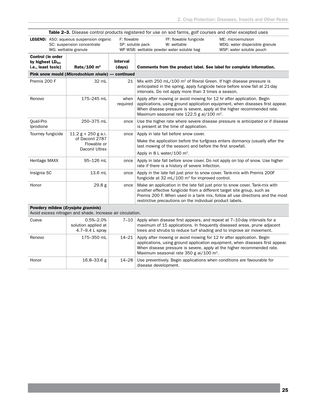|                                                                   | Table 2-3. Disease control products registered for use on sod farms, golf courses and other excepted uses |                                 |                                                                                                                                                                                                                                                                                                       |                                                                                 |
|-------------------------------------------------------------------|-----------------------------------------------------------------------------------------------------------|---------------------------------|-------------------------------------------------------------------------------------------------------------------------------------------------------------------------------------------------------------------------------------------------------------------------------------------------------|---------------------------------------------------------------------------------|
|                                                                   | <b>LEGEND:</b> ASO: aqueous suspension organic<br>SC: suspension concentrate<br>WG: wettable granule      | F: flowable<br>SP: soluble pack | FF: flowable fungicide<br>W: wettable<br>WP WSB: wettable powder water soluble bag                                                                                                                                                                                                                    | ME: microemulsion<br>WDG: water dispersible granule<br>WSP: water soluble pouch |
| Control (in order<br>by highest $LD_{50}$ ,<br>i.e., least toxic) | Rate/100 $m2$                                                                                             | <b>Interval</b><br>(days)       | Comments from the product label. See label for complete information.                                                                                                                                                                                                                                  |                                                                                 |
|                                                                   | Pink snow mould (Microdochium nivale) — continued                                                         |                                 |                                                                                                                                                                                                                                                                                                       |                                                                                 |
| Premis 200 F                                                      | 32 mL                                                                                                     | 21                              | Mix with 250 mL/100 m <sup>2</sup> of Rovral Green. If high disease pressure is<br>anticipated in the spring, apply fungicide twice before snow fall at 21-day<br>intervals. Do not apply more than 3 times a season.                                                                                 |                                                                                 |
| Renovo                                                            | 175-245 mL                                                                                                | when<br>required                | Apply after mowing or avoid mowing for 12 hr after application. Begin<br>applications, using ground application equipment, when diseases first appear.<br>When disease pressure is severe, apply at the higher recommended rate.<br>Maximum seasonal rate 122.5 g ai/100 m <sup>2</sup> .             |                                                                                 |
| Quali-Pro<br>Iprodione                                            | 250-375 mL                                                                                                | once                            | Use the higher rate where severe disease pressure is anticipated or if disease<br>is present at the time of application.                                                                                                                                                                              |                                                                                 |
| Tourney fungicide                                                 | $11.2 g + 250 g$ a.i.<br>of Daconil 2787<br>Flowable or<br>Daconil Ultrex                                 | once                            | Apply in late fall before snow cover.<br>Make the application before the turfgrass enters dormancy (usually after the<br>last mowing of the season) and before the first snowfall.<br>Apply in 8 L water/100 $m^2$ .                                                                                  |                                                                                 |
| Heritage MAXX                                                     | 95-126 mL                                                                                                 | once                            | Apply in late fall before snow cover. Do not apply on top of snow. Use higher<br>rate if there is a history of severe Infection.                                                                                                                                                                      |                                                                                 |
| Insignia SC                                                       | 13.6 mL                                                                                                   | once                            | Apply in the late fall just prior to snow cover. Tank-mix with Premis 200F<br>fungicide at 32 mL/100 m <sup>2</sup> for improved control.                                                                                                                                                             |                                                                                 |
| Honor                                                             | 29.8 <sub>g</sub>                                                                                         | once                            | Make an application in the late fall just prior to snow cover. Tank-mix with<br>another effective fungicide from a different target site group, such as<br>Premis 200 F. When used in a tank mix, follow all use directions and the most<br>restrictive precautions on the individual product labels. |                                                                                 |
| Powdery mildew (Erysiphe graminis)                                | Avoid excess nitrogen and shade. Increase air circulation.                                                |                                 |                                                                                                                                                                                                                                                                                                       |                                                                                 |
| Cueva                                                             | $0.5% - 2.0%$<br>solution applied at<br>4.7-9.4 L spray                                                   | $7 - 10$                        | Apply when disease first appears, and repeat at 7-10-day intervals for a<br>maximum of 15 applications. In frequently diseased areas, prune adjacent<br>trees and shrubs to reduce turf shading and to improve air movement.                                                                          |                                                                                 |
| Renovo                                                            | 175-350 mL                                                                                                | $14 - 21$                       | Apply after mowing or avoid mowing for 12 hr after application. Begin<br>applications, using ground application equipment, when diseases first appear.<br>When disease pressure is severe, apply at the higher recommended rate.                                                                      |                                                                                 |

Honor 16.8–33.6 g 14–28 Use preventively. Begin applications when conditions are favourable for disease development.

Maximum seasonal rate 350 g ai/100 m<sup>2</sup>.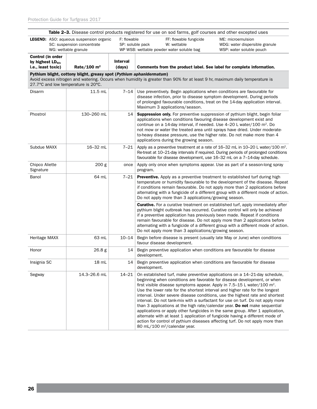| <b>Table 2–3.</b> Disease control products registered for use on sod farms, golf courses and other excepted uses |                                                                                                      |                           |                                                                                                                                                                                                                                                                                                                                                                                                                                                                                                                                                                                                                                                                                                                                                                                                                                                                                 |                                                                                                                                                                                                                                                     |
|------------------------------------------------------------------------------------------------------------------|------------------------------------------------------------------------------------------------------|---------------------------|---------------------------------------------------------------------------------------------------------------------------------------------------------------------------------------------------------------------------------------------------------------------------------------------------------------------------------------------------------------------------------------------------------------------------------------------------------------------------------------------------------------------------------------------------------------------------------------------------------------------------------------------------------------------------------------------------------------------------------------------------------------------------------------------------------------------------------------------------------------------------------|-----------------------------------------------------------------------------------------------------------------------------------------------------------------------------------------------------------------------------------------------------|
|                                                                                                                  | <b>LEGEND:</b> ASO: aqueous suspension organic<br>SC: suspension concentrate<br>WG: wettable granule | F: flowable               | FF: flowable fungicide<br>SP: soluble pack<br>W: wettable<br>WP WSB: wettable powder water soluble bag                                                                                                                                                                                                                                                                                                                                                                                                                                                                                                                                                                                                                                                                                                                                                                          | ME: microemulsion<br>WDG: water dispersible granule<br>WSP: water soluble pouch                                                                                                                                                                     |
| Control (in order<br>by highest $LD_{50}$ ,<br>i.e., least toxic)                                                | Rate/100 $m2$                                                                                        | <b>Interval</b><br>(days) | Comments from the product label. See label for complete information.                                                                                                                                                                                                                                                                                                                                                                                                                                                                                                                                                                                                                                                                                                                                                                                                            |                                                                                                                                                                                                                                                     |
| 27.7°C and low temperature is 20°C.                                                                              | Pythium blight, cottony blight, greasy spot (Pythium aphanidermatum)                                 |                           | Avoid excess nitrogen and watering. Occurs when humidity is greater than 90% for at least 9 hr, maximum daily temperature is                                                                                                                                                                                                                                                                                                                                                                                                                                                                                                                                                                                                                                                                                                                                                    |                                                                                                                                                                                                                                                     |
| Disarm                                                                                                           | 11.5 mL                                                                                              | 7–14                      | Use preventively. Begin applications when conditions are favourable for<br>disease infection, prior to disease symptom development. During periods<br>of prolonged favourable conditions, treat on the 14-day application interval.<br>Maximum 3 applications/season.                                                                                                                                                                                                                                                                                                                                                                                                                                                                                                                                                                                                           |                                                                                                                                                                                                                                                     |
| Phostrol                                                                                                         | 130-260 mL                                                                                           | 14                        | <b>Suppression only.</b> For preventive suppression of pythium blight, begin foliar<br>applications when conditions favouring disease development exist and<br>continue on a 14-day interval, if needed. Use 4-20 L water/100 m <sup>2</sup> . Do<br>not mow or water the treated area until sprays have dried. Under moderate-<br>to-heavy disease pressure, use the higher rate. Do not make more than 4<br>applications during the growing season.                                                                                                                                                                                                                                                                                                                                                                                                                           |                                                                                                                                                                                                                                                     |
| Subdue MAXX                                                                                                      | 16-32 mL                                                                                             | 7–21                      | favourable for disease development, use 16-32 mL on a 7-14-day schedule.                                                                                                                                                                                                                                                                                                                                                                                                                                                                                                                                                                                                                                                                                                                                                                                                        | Apply as a preventive treatment at a rate of $16-32$ mL in $10-20$ L water/100 m <sup>2</sup> .<br>Re-treat at 10–21-day intervals if required. During periods of prolonged conditions                                                              |
| Chipco Aliette<br>Signature                                                                                      | 200 g                                                                                                | once                      | Apply only once when symptoms appear. Use as part of a season-long spray<br>program.                                                                                                                                                                                                                                                                                                                                                                                                                                                                                                                                                                                                                                                                                                                                                                                            |                                                                                                                                                                                                                                                     |
| Banol                                                                                                            | 64 mL                                                                                                | 7–21                      | Preventive. Apply as a preventive treatment to established turf during high<br>Do not apply more than 3 applications/growing season.                                                                                                                                                                                                                                                                                                                                                                                                                                                                                                                                                                                                                                                                                                                                            | temperature or humidity favourable to the development of the disease. Repeat<br>if conditions remain favourable. Do not apply more than 2 applications before<br>alternating with a fungicide of a different group with a different mode of action. |
|                                                                                                                  |                                                                                                      |                           | pythium blight outbreak has occurred. Curative control will only be achieved<br>if a preventive application has previously been made. Repeat if conditions<br>remain favourable for disease. Do not apply more than 2 applications before<br>Do not apply more than 3 applications/growing season.                                                                                                                                                                                                                                                                                                                                                                                                                                                                                                                                                                              | <b>Curative.</b> For a curative treatment on established turf, apply immediately after<br>alternating with a fungicide of a different group with a different mode of action.                                                                        |
| Heritage MAXX                                                                                                    | 63 mL                                                                                                | $10 - 14$                 | Begin before disease is present (usually late May or June) when conditions<br>favour disease development.                                                                                                                                                                                                                                                                                                                                                                                                                                                                                                                                                                                                                                                                                                                                                                       |                                                                                                                                                                                                                                                     |
| Honor                                                                                                            | 26.8g                                                                                                | 14                        | Begin preventive application when conditions are favourable for disease<br>development.                                                                                                                                                                                                                                                                                                                                                                                                                                                                                                                                                                                                                                                                                                                                                                                         |                                                                                                                                                                                                                                                     |
| Insignia SC                                                                                                      | 18 mL                                                                                                | 14                        | Begin preventive application when conditions are favourable for disease<br>development.                                                                                                                                                                                                                                                                                                                                                                                                                                                                                                                                                                                                                                                                                                                                                                                         |                                                                                                                                                                                                                                                     |
| Segway                                                                                                           | 14.3-26.6 mL                                                                                         | $14 - 21$                 | On established turf, make preventive applications on a 14–21-day schedule,<br>beginning when conditions are favorable for disease development, or when<br>first visible disease symptoms appear. Apply in $7.5-15$ L water/100 m <sup>2</sup> .<br>Use the lower rate for the shortest interval and higher rate for the longest<br>interval. Under severe disease conditions, use the highest rate and shortest<br>interval. Do not tank-mix with a surfactant for use on turf. Do not apply more<br>than 3 applications at the high rate/calendar year. Do not make sequential<br>applications or apply other fungicides in the same group. After 1 application,<br>alternate with at least 1 application of fungicide having a different mode of<br>action for control of pythium diseases affecting turf. Do not apply more than<br>80 mL/100 m <sup>2</sup> /calendar year. |                                                                                                                                                                                                                                                     |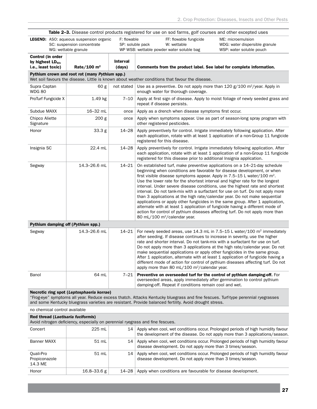|                                                                   |                                                                                                      |                           | <b>Table 2-3.</b> Disease control products registered for use on sod farms, golf courses and other excepted uses                                                                                                                                                                                                                                                                                                                                                                                                                                                                                                                                                                                                                                                                                                                                                               |                                                                                                                                                                                                                                                           |
|-------------------------------------------------------------------|------------------------------------------------------------------------------------------------------|---------------------------|--------------------------------------------------------------------------------------------------------------------------------------------------------------------------------------------------------------------------------------------------------------------------------------------------------------------------------------------------------------------------------------------------------------------------------------------------------------------------------------------------------------------------------------------------------------------------------------------------------------------------------------------------------------------------------------------------------------------------------------------------------------------------------------------------------------------------------------------------------------------------------|-----------------------------------------------------------------------------------------------------------------------------------------------------------------------------------------------------------------------------------------------------------|
|                                                                   | <b>LEGEND:</b> ASO: aqueous suspension organic<br>SC: suspension concentrate<br>WG: wettable granule | F: flowable               | FF: flowable fungicide<br>SP: soluble pack<br>W: wettable<br>WP WSB: wettable powder water soluble bag                                                                                                                                                                                                                                                                                                                                                                                                                                                                                                                                                                                                                                                                                                                                                                         | ME: microemulsion<br>WDG: water dispersible granule<br>WSP: water soluble pouch                                                                                                                                                                           |
| Control (in order<br>by highest $LD_{50}$ ,<br>i.e., least toxic) | Rate/100 $m2$                                                                                        | <b>Interval</b><br>(days) | Comments from the product label. See label for complete information.                                                                                                                                                                                                                                                                                                                                                                                                                                                                                                                                                                                                                                                                                                                                                                                                           |                                                                                                                                                                                                                                                           |
|                                                                   | Pythium crown and root rot (many Pythium spp.)                                                       |                           | Wet soil favours the disease. Little is known about weather conditions that favour the disease.                                                                                                                                                                                                                                                                                                                                                                                                                                                                                                                                                                                                                                                                                                                                                                                |                                                                                                                                                                                                                                                           |
| Supra Captan<br><b>WDG 80</b>                                     | 60 g                                                                                                 | not stated                | Use as a preventive. Do not apply more than 120 g/100 m <sup>2</sup> /year. Apply in<br>enough water for thorough coverage.                                                                                                                                                                                                                                                                                                                                                                                                                                                                                                                                                                                                                                                                                                                                                    |                                                                                                                                                                                                                                                           |
| ProTurf Fungicide X                                               | 1.49 kg                                                                                              | $7 - 10$                  | repeat if disease persists.                                                                                                                                                                                                                                                                                                                                                                                                                                                                                                                                                                                                                                                                                                                                                                                                                                                    | Apply at first sign of disease. Apply to moist foliage of newly seeded grass and                                                                                                                                                                          |
| Subdue MAXX                                                       | 16-32 mL                                                                                             | once                      | Apply as a drench when disease symptoms first occur.                                                                                                                                                                                                                                                                                                                                                                                                                                                                                                                                                                                                                                                                                                                                                                                                                           |                                                                                                                                                                                                                                                           |
| Chipco Aliette<br>Signature                                       | 200 g                                                                                                | once                      | other registered pesticides.                                                                                                                                                                                                                                                                                                                                                                                                                                                                                                                                                                                                                                                                                                                                                                                                                                                   | Apply when symptoms appear. Use as part of season-long spray program with                                                                                                                                                                                 |
| Honor                                                             | 33.3 g                                                                                               | $14 - 28$                 | Apply preventively for control. Irrigate immediately following application. After<br>registered for this disease.                                                                                                                                                                                                                                                                                                                                                                                                                                                                                                                                                                                                                                                                                                                                                              | each application, rotate with at least 1 application of a non-Group 11 fungicide                                                                                                                                                                          |
| Insignia SC                                                       | 22.4 mL                                                                                              | 14–28                     | Apply preventively for control. Irrigate immediately following application. After<br>registered for this disease prior to additional Insignia application.                                                                                                                                                                                                                                                                                                                                                                                                                                                                                                                                                                                                                                                                                                                     | each application, rotate with at least 1 application of a non-Group 11 fungicide                                                                                                                                                                          |
| Segway                                                            | 14.3-26.6 mL                                                                                         | 14–21                     | On established turf, make preventive applications on a 14–21-day schedule<br>beginning when conditions are favorable for disease development, or when<br>first visible disease symptoms appear. Apply in $7.5-15$ L water/100 m <sup>2</sup> .<br>Use the lower rate for the shortest interval and higher rate for the longest<br>interval. Under severe disease conditions, use the highest rate and shortest<br>interval. Do not tank-mix with a surfactant for use on turf. Do not apply more<br>than 3 applications at the high rate/calendar year. Do not make sequential<br>applications or apply other fungicides in the same group. After 1 application,<br>alternate with at least 1 application of fungicide having a different mode of<br>action for control of pythium diseases affecting turf. Do not apply more than<br>80 mL/100 m <sup>2</sup> /calendar year. |                                                                                                                                                                                                                                                           |
| Pythium damping off (Pythium spp.)                                |                                                                                                      |                           |                                                                                                                                                                                                                                                                                                                                                                                                                                                                                                                                                                                                                                                                                                                                                                                                                                                                                |                                                                                                                                                                                                                                                           |
| Segway                                                            | 14.3-26.6 mL                                                                                         | 14–21                     | after seeding. If disease continues to increase in severity, use the higher<br>rate and shorter interval. Do not tank-mix with a surfactant for use on turf.<br>make sequential applications or apply other fungicides in the same group.<br>After 1 application, alternate with at least 1 application of fungicide having a<br>apply more than 80 mL/100 m <sup>2</sup> /calendar year.                                                                                                                                                                                                                                                                                                                                                                                                                                                                                      | For newly seeded areas, use $14.3$ mL in 7.5–15 L water/100 m <sup>2</sup> immediately<br>Do not apply more than 3 applications at the high rate/calendar year. Do not<br>different mode of action for control of pythium diseases affecting turf. Do not |
| Banol                                                             | 64 mL                                                                                                | 7–21                      | Preventive on overseeded turf for the control of pythium damping-off. For<br>overseeded areas, apply immediately after germination to control pythium<br>damping-off. Repeat if conditions remain cool and wet.                                                                                                                                                                                                                                                                                                                                                                                                                                                                                                                                                                                                                                                                |                                                                                                                                                                                                                                                           |
| no chemical control available                                     | Necrotic ring spot (Leptosphaeria korrae)                                                            |                           | "Frog-eye" symptoms all year. Reduce excess thatch. Attacks Kentucky bluegrass and fine fescues. Turf-type perennial ryegrasses<br>and some Kentucky bluegrass varieties are resistant. Provide balanced fertility. Avoid drought stress.                                                                                                                                                                                                                                                                                                                                                                                                                                                                                                                                                                                                                                      |                                                                                                                                                                                                                                                           |
| Red thread (Laetisaria fuciformis)                                | Avoid nitrogen deficiency, especially on perennial ryegrass and fine fescues.                        |                           |                                                                                                                                                                                                                                                                                                                                                                                                                                                                                                                                                                                                                                                                                                                                                                                                                                                                                |                                                                                                                                                                                                                                                           |
| Concert                                                           | 225 mL                                                                                               | 14                        |                                                                                                                                                                                                                                                                                                                                                                                                                                                                                                                                                                                                                                                                                                                                                                                                                                                                                | Apply when cool, wet conditions occur. Prolonged periods of high humidity favour<br>the development of the disease. Do not apply more than 3 applications/season.                                                                                         |
| Banner MAXX                                                       | 51 ml                                                                                                |                           | 14 Apply when cool, wet conditions occur. Prolonged periods of high humidity favour                                                                                                                                                                                                                                                                                                                                                                                                                                                                                                                                                                                                                                                                                                                                                                                            |                                                                                                                                                                                                                                                           |

| Banner MAXX                           | $51$ mL         |         | 14 Apply when cool, wet conditions occur. Prolonged periods of high humidity favour<br>disease development. Do not apply more than 3 times/season.   |
|---------------------------------------|-----------------|---------|------------------------------------------------------------------------------------------------------------------------------------------------------|
| Ouali-Pro<br>Propiconazole<br>14.3 ME | 51 mL           |         | 14   Apply when cool, wet conditions occur. Prolonged periods of high humidity favour<br>disease development. Do not apply more than 3 times/season. |
| Honor                                 | $16.8 - 33.6 g$ | 14–28 l | Apply when conditions are favourable for disease development.                                                                                        |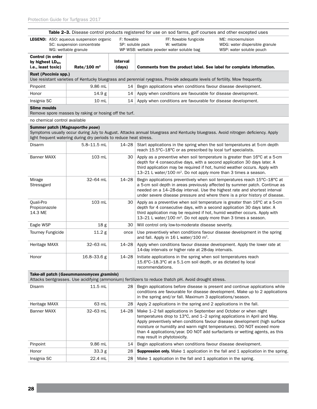|                                                                          |                                                                              |                                 | <b>Table 2–3.</b> Disease control products registered for use on sod farms, golf courses and other excepted uses                                                                                                                                                                                                                                                                                                     |                                                                                   |  |
|--------------------------------------------------------------------------|------------------------------------------------------------------------------|---------------------------------|----------------------------------------------------------------------------------------------------------------------------------------------------------------------------------------------------------------------------------------------------------------------------------------------------------------------------------------------------------------------------------------------------------------------|-----------------------------------------------------------------------------------|--|
|                                                                          | <b>LEGEND:</b> ASO: aqueous suspension organic<br>SC: suspension concentrate | F: flowable<br>SP: soluble pack | FF: flowable fungicide<br>W: wettable                                                                                                                                                                                                                                                                                                                                                                                | ME: microemulsion<br>WDG: water dispersible granule                               |  |
|                                                                          | WG: wettable granule                                                         |                                 | WP WSB: wettable powder water soluble bag                                                                                                                                                                                                                                                                                                                                                                            | WSP: water soluble pouch                                                          |  |
| Control (in order<br>by highest LD <sub>50</sub> ,<br>i.e., least toxic) | Rate/100 $m2$                                                                | Interval<br>(days)              | Comments from the product label. See label for complete information.                                                                                                                                                                                                                                                                                                                                                 |                                                                                   |  |
| Rust (Puccinia spp.)                                                     |                                                                              |                                 |                                                                                                                                                                                                                                                                                                                                                                                                                      |                                                                                   |  |
|                                                                          |                                                                              |                                 | Use resistant varieties of Kentucky bluegrass and perennial ryegrass. Provide adequate levels of fertility. Mow frequently.                                                                                                                                                                                                                                                                                          |                                                                                   |  |
| Pinpoint                                                                 | 9.86 mL                                                                      | 14                              | Begin applications when conditions favour disease development.                                                                                                                                                                                                                                                                                                                                                       |                                                                                   |  |
| Honor                                                                    | 14.9g                                                                        | 14                              | Apply when conditions are favourable for disease development.                                                                                                                                                                                                                                                                                                                                                        |                                                                                   |  |
| Insignia SC                                                              | $10 \text{ mL}$                                                              | 14                              | Apply when conditions are favourable for disease development.                                                                                                                                                                                                                                                                                                                                                        |                                                                                   |  |
| <b>Slime moulds</b>                                                      |                                                                              |                                 |                                                                                                                                                                                                                                                                                                                                                                                                                      |                                                                                   |  |
|                                                                          | Remove spore masses by raking or hosing off the turf.                        |                                 |                                                                                                                                                                                                                                                                                                                                                                                                                      |                                                                                   |  |
| no chemical control available                                            |                                                                              |                                 |                                                                                                                                                                                                                                                                                                                                                                                                                      |                                                                                   |  |
| Summer patch (Magnaporthe poae)                                          | light frequent watering during dry periods to reduce heat stress.            |                                 | Symptoms usually occur during July to August. Attacks annual bluegrass and Kentucky bluegrass. Avoid nitrogen deficiency. Apply                                                                                                                                                                                                                                                                                      |                                                                                   |  |
| Disarm                                                                   | $5.8 - 11.5$ mL                                                              | 14-28                           | Start applications in the spring when the soil temperatures at 5-cm depth<br>reach 15.5°C-18°C or as prescribed by local turf specialists.                                                                                                                                                                                                                                                                           |                                                                                   |  |
| <b>Banner MAXX</b>                                                       | 103 mL                                                                       | 30                              | Apply as a preventive when soil temperature is greater than 16°C at a 5-cm<br>depth for 4 consecutive days, with a second application 30 days later. A<br>third application may be required if hot, humid weather occurs. Apply with<br>13-21 L water/100 m <sup>2</sup> . Do not apply more than 3 times a season.                                                                                                  |                                                                                   |  |
| Mirage<br>Stressgard                                                     | 32-64 mL                                                                     | $14 - 28$                       | Begin applications preventively when soil temperatures reach 15°C-18°C at<br>a 5-cm soil depth in areas previously affected by summer patch. Continue as<br>needed on a 14-28-day interval. Use the highest rate and shortest interval<br>under severe disease pressure and where there is a prior history of disease.                                                                                               |                                                                                   |  |
| Quali-Pro<br>Propiconazole<br>14.3 ME                                    | 103 mL                                                                       | 30                              | Apply as a preventive when soil temperature is greater than 16°C at a 5-cm<br>depth for 4 consecutive days, with a second application 30 days later. A<br>third application may be required if hot, humid weather occurs. Apply with<br>13-21 L water/100 m <sup>2</sup> . Do not apply more than 3 times a season.                                                                                                  |                                                                                   |  |
| Eagle WSP                                                                | 18 <sub>g</sub>                                                              | 30                              | Will control only low-to-moderate disease severity.                                                                                                                                                                                                                                                                                                                                                                  |                                                                                   |  |
| <b>Tourney Fungicide</b>                                                 | 11.2 g                                                                       | once                            | Use preventively when conditions favour disease development in the spring<br>and fall. Apply in 16 L water/100 m <sup>2</sup> .                                                                                                                                                                                                                                                                                      |                                                                                   |  |
| Heritage MAXX                                                            | 32-63 mL                                                                     | 14-28                           | Apply when conditions favour disease development. Apply the lower rate at<br>14-day intervals or higher rate at 28-day intervals.                                                                                                                                                                                                                                                                                    |                                                                                   |  |
| Honor                                                                    | 16.8-33.6 g                                                                  | $14 - 28$                       | Initiate applications in the spring when soil temperatures reach<br>15.6°C-18.3°C at a 5.1-cm soil depth, or as dictated by local<br>recommendations.                                                                                                                                                                                                                                                                |                                                                                   |  |
|                                                                          | Take-all patch (Gaeummannomyces graminis)                                    |                                 |                                                                                                                                                                                                                                                                                                                                                                                                                      |                                                                                   |  |
|                                                                          |                                                                              |                                 | Attacks bentgrasses. Use acidifying (ammonium) fertilizers to reduce thatch pH. Avoid drought stress.                                                                                                                                                                                                                                                                                                                |                                                                                   |  |
| Disarm                                                                   | 11.5 mL                                                                      | 28                              | Begin applications before disease is present and continue applications while<br>in the spring and/or fall. Maximum 3 applications/season.                                                                                                                                                                                                                                                                            | conditions are favourable for disease development. Make up to 2 applications      |  |
| Heritage MAXX                                                            | 63 mL                                                                        | 28                              | Apply 2 applications in the spring and 2 applications in the fall.                                                                                                                                                                                                                                                                                                                                                   |                                                                                   |  |
| <b>Banner MAXX</b>                                                       | 32-63 mL                                                                     | 14-28                           | Make 1–2 fall applications in September and October or when night<br>temperatures drop to 13°C, and 1–2 spring applications in April and May.<br>Apply preventively when conditions favour disease development (high surface<br>moisture or humidity and warm night temperatures). DO NOT exceed more<br>than 4 applications/year. DO NOT add surfactants or wetting agents, as this<br>may result in phytotoxicity. |                                                                                   |  |
| Pinpoint                                                                 | 9.86 mL                                                                      | 14                              | Begin applications when conditions favour disease development.                                                                                                                                                                                                                                                                                                                                                       |                                                                                   |  |
| Honor                                                                    | 33.3 <sub>g</sub>                                                            | 28                              |                                                                                                                                                                                                                                                                                                                                                                                                                      | Suppression only. Make 1 application in the fall and 1 application in the spring. |  |
| Insignia SC                                                              | 22.4 mL                                                                      | 28                              | Make 1 application in the fall and 1 application in the spring.                                                                                                                                                                                                                                                                                                                                                      |                                                                                   |  |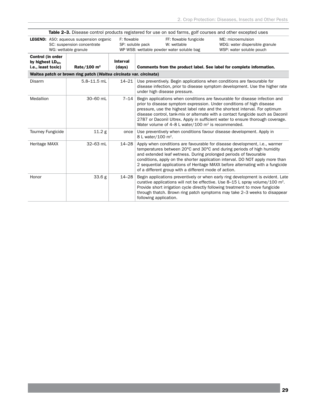|                                                                   | Table 2-3. Disease control products registered for use on sod farms, golf courses and other excepted uses |                                 |                                                                                                                                                                                                                                                                                                                                                                                                                                                                            |                                                                                 |  |  |  |  |
|-------------------------------------------------------------------|-----------------------------------------------------------------------------------------------------------|---------------------------------|----------------------------------------------------------------------------------------------------------------------------------------------------------------------------------------------------------------------------------------------------------------------------------------------------------------------------------------------------------------------------------------------------------------------------------------------------------------------------|---------------------------------------------------------------------------------|--|--|--|--|
|                                                                   | <b>LEGEND:</b> ASO: aqueous suspension organic<br>SC: suspension concentrate<br>WG: wettable granule      | F: flowable<br>SP: soluble pack | FF: flowable fungicide<br>W: wettable<br>WP WSB: wettable powder water soluble bag                                                                                                                                                                                                                                                                                                                                                                                         | ME: microemulsion<br>WDG: water dispersible granule<br>WSP: water soluble pouch |  |  |  |  |
| Control (in order<br>by highest $LD_{50}$ ,<br>i.e., least toxic) | Rate/100 $m2$                                                                                             | <b>Interval</b><br>(days)       | Comments from the product label. See label for complete information.                                                                                                                                                                                                                                                                                                                                                                                                       |                                                                                 |  |  |  |  |
|                                                                   | Waitea patch or brown ring patch (Waitea circinata var. circinata)                                        |                                 |                                                                                                                                                                                                                                                                                                                                                                                                                                                                            |                                                                                 |  |  |  |  |
| <b>Disarm</b>                                                     | $5.8 - 11.5$ mL                                                                                           | $14 - 21$                       | Use preventively. Begin applications when conditions are favourable for<br>disease infection, prior to disease symptom development. Use the higher rate<br>under high disease pressure.                                                                                                                                                                                                                                                                                    |                                                                                 |  |  |  |  |
| Medallion                                                         | 30-60 mL                                                                                                  | 7–14                            | Begin applications when conditions are favourable for disease infection and<br>prior to disease symptom expression. Under conditions of high disease<br>pressure, use the highest label rate and the shortest interval. For optimum<br>disease control, tank-mix or alternate with a contact fungicide such as Daconil<br>2787 or Daconil Ultrex. Apply in sufficient water to ensure thorough coverage.<br>Water volume of 4-8 L water/100 m <sup>2</sup> is recommended. |                                                                                 |  |  |  |  |
| <b>Tourney Fungicide</b>                                          | 11.2 <sub>g</sub>                                                                                         | once                            | Use preventively when conditions favour disease development. Apply in<br>8 L water/100 m <sup>2</sup> .                                                                                                                                                                                                                                                                                                                                                                    |                                                                                 |  |  |  |  |
| Heritage MAXX                                                     | 32-63 mL                                                                                                  | $14 - 28$                       | Apply when conditions are favourable for disease development, i.e., warmer<br>temperatures between 20°C and 30°C and during periods of high humidity<br>and extended leaf wetness. During prolonged periods of favourable<br>conditions, apply on the shorter application interval. DO NOT apply more than<br>2 sequential applications of Heritage MAXX before alternating with a fungicide<br>of a different group with a different mode of action.                      |                                                                                 |  |  |  |  |
| Honor                                                             | 33.6 g                                                                                                    | $14 - 28$                       | Begin applications preventively or when early ring development is evident. Late<br>curative applications will not be effective. Use 8-15 L spray volume/100 $\text{m}^2$ .<br>Provide short irrigation cycle directly following treatment to move fungicide<br>through thatch. Brown ring patch symptoms may take 2–3 weeks to disappear<br>following application.                                                                                                         |                                                                                 |  |  |  |  |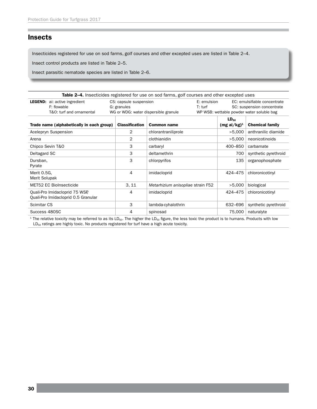## **Insects**

Insecticides registered for use on sod farms, golf courses and other excepted uses are listed in Table 2–4.

Insect control products are listed in Table 2–5.

Insect parasitic nematode species are listed in Table 2–6.

|                                                                                 |                                       | Table 2-4. Insecticides registered for use on sod farms, golf courses and other excepted uses |                            |                                                                                                         |  |
|---------------------------------------------------------------------------------|---------------------------------------|-----------------------------------------------------------------------------------------------|----------------------------|---------------------------------------------------------------------------------------------------------|--|
| <b>LEGEND:</b> ai: active ingredient<br>F: flowable<br>T&O: turf and ornamental | CS: capsule suspension<br>G: granules | E: emulsion<br>$T:$ turf<br>WG or WDG: water dispersible granule                              |                            | EC: emulsifiable concentrate<br>SC: suspension concentrate<br>WP WSB: wettable powder water soluble bag |  |
| Trade name (alphabetically in each group)                                       | <b>Classification</b>                 | <b>Common name</b>                                                                            | $LD_{50}$<br>$(mgai/kg)^1$ | <b>Chemical family</b>                                                                                  |  |
| Acelepryn Suspension                                                            | 2                                     | chlorantraniliprole                                                                           | >5,000                     | anthranilic diamide                                                                                     |  |
| Arena                                                                           | $\overline{2}$                        | clothianidin                                                                                  | >5,000                     | neonicotinoids                                                                                          |  |
| Chipco Sevin T&O                                                                | 3                                     | carbaryl                                                                                      | 400-850                    | carbamate                                                                                               |  |
| Deltagard SC                                                                    | 3                                     | deltamethrin                                                                                  | 700                        | synthetic pyrethroid                                                                                    |  |
| Dursban,<br>Pyrate                                                              | 3                                     | chlorpyrifos                                                                                  | 135                        | organophosphate                                                                                         |  |
| Merit 0.5G.<br>Merit Solupak                                                    | 4                                     | imidacloprid                                                                                  | 424-475                    | chloronicotinyl                                                                                         |  |
| <b>MET52 EC BioInsecticide</b>                                                  | 3.11                                  | Metarhizium anisopliae strain F52                                                             | >5,000                     | biological                                                                                              |  |
| Quali-Pro Imidacloprid 75 WSP<br>Quali-Pro Imidacloprid 0.5 Granular            | 4                                     | imidacloprid                                                                                  | 424-475                    | chloronicotinyl                                                                                         |  |
| Scimitar CS                                                                     | 3                                     | lambda-cyhalothrin                                                                            | 632-696                    | synthetic pyrethroid                                                                                    |  |
| Success 480SC                                                                   | 4                                     | spinosad                                                                                      | 75,000                     | naturalyte                                                                                              |  |

<sup>1</sup> The relative toxicity may be referred to as its LD<sub>50</sub>. The higher the LD<sub>50</sub> figure, the less toxic the product is to humans. Products with low  $LD_{50}$  ratings are highly toxic. No products registered for turf have a high acute toxicity.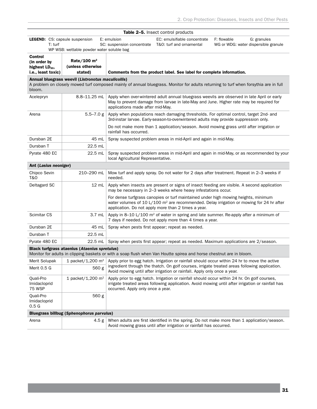|                                                                             |                                                      |                                                                                                                                                              | Table 2-5. Insect control products                                                                                  |                                                                                                                                                                                                                                                                            |  |
|-----------------------------------------------------------------------------|------------------------------------------------------|--------------------------------------------------------------------------------------------------------------------------------------------------------------|---------------------------------------------------------------------------------------------------------------------|----------------------------------------------------------------------------------------------------------------------------------------------------------------------------------------------------------------------------------------------------------------------------|--|
| <b>LEGEND:</b> CS: capsule suspension<br>$T:$ turf                          | WP WSB: wettable powder water soluble bag            | E: emulsion<br>SC: suspension concentrate                                                                                                                    | EC: emulsifiable concentrate<br>T&O: turf and ornamental                                                            | F: flowable<br>G: granules<br>WG or WDG: water dispersible granule                                                                                                                                                                                                         |  |
| Control<br>(in order by<br>highest LD <sub>50</sub> ,<br>i.e., least toxic) | Rate/100 $m2$<br>(unless otherwise<br>stated)        |                                                                                                                                                              | Comments from the product label. See label for complete information.                                                |                                                                                                                                                                                                                                                                            |  |
| bloom.                                                                      | Annual bluegrass weevil (Listronotus maculicollis)   |                                                                                                                                                              |                                                                                                                     | A problem on closely mowed turf composed mainly of annual bluegrass. Monitor for adults returning to turf when forsythia are in full                                                                                                                                       |  |
| Acelepryn                                                                   | 8.8-11.25 mL                                         | applications made after mid-May.                                                                                                                             |                                                                                                                     | Apply when over-wintered adult annual bluegrass weevils are observed in late April or early<br>May to prevent damage from larvae in late-May and June. Higher rate may be required for                                                                                     |  |
| Arena                                                                       | $5.5 - 7.0 g$                                        | rainfall has occurred.                                                                                                                                       |                                                                                                                     | Apply when populations reach damaging thresholds. For optimal control, target 2nd- and<br>3rd-instar larvae. Early-season-to-overwintered adults may provide suppression only.<br>Do not make more than 1 application/season. Avoid mowing grass until after irrigation or |  |
| Dursban 2E                                                                  | 45 mL                                                |                                                                                                                                                              | Spray suspected problem areas in mid-April and again in mid-May.                                                    |                                                                                                                                                                                                                                                                            |  |
| Dursban T                                                                   | 22.5 mL                                              |                                                                                                                                                              |                                                                                                                     |                                                                                                                                                                                                                                                                            |  |
| Pyrate 480 EC                                                               | 22.5 mL                                              | local Agricultural Representative.                                                                                                                           |                                                                                                                     | Spray suspected problem areas in mid-April and again in mid-May, or as recommended by your                                                                                                                                                                                 |  |
| Ant (Lasius neoniger)                                                       |                                                      |                                                                                                                                                              |                                                                                                                     |                                                                                                                                                                                                                                                                            |  |
| Chipco Sevin<br>T&0                                                         | 210-290 mL                                           | needed.                                                                                                                                                      |                                                                                                                     | Mow turf and apply spray. Do not water for 2 days after treatment. Repeat in 2-3 weeks if                                                                                                                                                                                  |  |
| Deltagard SC                                                                | 12 mL                                                | Apply when insects are present or signs of insect feeding are visible. A second application<br>may be necessary in 2-3 weeks where heavy infestations occur. |                                                                                                                     |                                                                                                                                                                                                                                                                            |  |
|                                                                             |                                                      |                                                                                                                                                              | application. Do not apply more than 2 times a year.                                                                 | For dense turfgrass canopies or turf maintained under high mowing heights, minimum<br>water volumes of 10 L/100 $m2$ are recommended. Delay irrigation or mowing for 24 hr after                                                                                           |  |
| Scimitar CS                                                                 | $3.7 \text{ mL}$                                     |                                                                                                                                                              | 7 days if needed. Do not apply more than 4 times a year.                                                            | Apply in 8-10 L/100 m <sup>2</sup> of water in spring and late summer. Re-apply after a minimum of                                                                                                                                                                         |  |
| Dursban 2E                                                                  | 45 mL                                                |                                                                                                                                                              | Spray when pests first appear; repeat as needed.                                                                    |                                                                                                                                                                                                                                                                            |  |
| Dursban T                                                                   | 22.5 mL                                              |                                                                                                                                                              |                                                                                                                     |                                                                                                                                                                                                                                                                            |  |
| Pyrate 480 EC                                                               | $22.5$ mL                                            |                                                                                                                                                              |                                                                                                                     | Spray when pests first appear; repeat as needed. Maximum applications are 2/season.                                                                                                                                                                                        |  |
|                                                                             | <b>Black turfgrass ataenius (Ataenius spretulus)</b> |                                                                                                                                                              | Monitor for adults in clipping baskets or with a soap flush when Van Houtte spirea and horse chestnut are in bloom. |                                                                                                                                                                                                                                                                            |  |
| Merit Solupak                                                               |                                                      |                                                                                                                                                              |                                                                                                                     | 1 packet/1,200 $m^2$ Apply prior to egg hatch. Irrigation or rainfall should occur within 24 hr to move the active                                                                                                                                                         |  |
| Merit 0.5 G                                                                 | 560 g                                                |                                                                                                                                                              | Avoid mowing until after irrigation or rainfall. Apply only once a year.                                            | ingredient through the thatch. On golf courses, irrigate treated areas following application.                                                                                                                                                                              |  |
| Quali-Pro<br>Imidacloprid<br>75 WSP                                         | 1 packet/1,200 m <sup>2</sup>                        | occurred. Apply only once a year.                                                                                                                            |                                                                                                                     | Apply prior to egg hatch. Irrigation or rainfall should occur within 24 hr. On golf courses,<br>irrigate treated areas following application. Avoid mowing until after irrigation or rainfall has                                                                          |  |
| Quali-Pro<br>Imidacloprid<br>0.5 <sub>G</sub>                               | 560 g                                                |                                                                                                                                                              |                                                                                                                     |                                                                                                                                                                                                                                                                            |  |
|                                                                             | Bluegrass billbug (Sphenophorus parvulus)            |                                                                                                                                                              |                                                                                                                     |                                                                                                                                                                                                                                                                            |  |
| Arena                                                                       | 4.5 g                                                |                                                                                                                                                              | Avoid mowing grass until after irrigation or rainfall has occurred.                                                 | When adults are first identified in the spring. Do not make more than 1 application/season.                                                                                                                                                                                |  |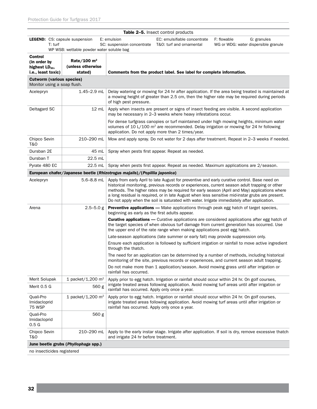| Table 2-5. Insect control products                                          |                                               |                                                                                                                                                                                                                           |                                                                                     |                                                                                                                                                                                                                                                                                                                                                                                                                                                                                                     |  |  |
|-----------------------------------------------------------------------------|-----------------------------------------------|---------------------------------------------------------------------------------------------------------------------------------------------------------------------------------------------------------------------------|-------------------------------------------------------------------------------------|-----------------------------------------------------------------------------------------------------------------------------------------------------------------------------------------------------------------------------------------------------------------------------------------------------------------------------------------------------------------------------------------------------------------------------------------------------------------------------------------------------|--|--|
| <b>LEGEND:</b> CS: capsule suspension<br>T: turf                            | WP WSB: wettable powder water soluble bag     | E: emulsion                                                                                                                                                                                                               | EC: emulsifiable concentrate<br>SC: suspension concentrate T&O: turf and ornamental | F: flowable<br>G: granules<br>WG or WDG: water dispersible granule                                                                                                                                                                                                                                                                                                                                                                                                                                  |  |  |
| Control<br>(in order by<br>highest LD <sub>50</sub> ,<br>i.e., least toxic) | Rate/100 $m2$<br>(unless otherwise<br>stated) |                                                                                                                                                                                                                           | Comments from the product label. See label for complete information.                |                                                                                                                                                                                                                                                                                                                                                                                                                                                                                                     |  |  |
| <b>Cutworm (various species)</b>                                            |                                               |                                                                                                                                                                                                                           |                                                                                     |                                                                                                                                                                                                                                                                                                                                                                                                                                                                                                     |  |  |
| Monitor using a soap flush.                                                 |                                               |                                                                                                                                                                                                                           |                                                                                     |                                                                                                                                                                                                                                                                                                                                                                                                                                                                                                     |  |  |
| Acelepryn                                                                   | $1.45 - 2.9$ mL                               | Delay watering or mowing for 24 hr after application. If the area being treated is maintained at<br>a mowing height of greater than 2.5 cm, then the higher rate may be required during periods<br>of high pest pressure. |                                                                                     |                                                                                                                                                                                                                                                                                                                                                                                                                                                                                                     |  |  |
| Deltagard SC                                                                | 12 mL                                         |                                                                                                                                                                                                                           | may be necessary in 2-3 weeks where heavy infestations occur.                       | Apply when insects are present or signs of insect feeding are visible. A second application                                                                                                                                                                                                                                                                                                                                                                                                         |  |  |
|                                                                             |                                               |                                                                                                                                                                                                                           | application. Do not apply more than 2 times/year.                                   | For dense turfgrass canopies or turf maintained under high mowing heights, minimum water<br>volumes of 10 L/100 m <sup>2</sup> are recommended. Delay irrigation or mowing for 24 hr following                                                                                                                                                                                                                                                                                                      |  |  |
| Chipco Sevin<br>T&O                                                         | 210-290 mL                                    |                                                                                                                                                                                                                           |                                                                                     | Mow and apply spray. Do not water for 2 days after treatment. Repeat in 2-3 weeks if needed.                                                                                                                                                                                                                                                                                                                                                                                                        |  |  |
| Dursban 2E                                                                  | 45 mL                                         |                                                                                                                                                                                                                           | Spray when pests first appear. Repeat as needed.                                    |                                                                                                                                                                                                                                                                                                                                                                                                                                                                                                     |  |  |
| Dursban T                                                                   | 22.5 mL                                       |                                                                                                                                                                                                                           |                                                                                     |                                                                                                                                                                                                                                                                                                                                                                                                                                                                                                     |  |  |
| Pyrate 480 EC                                                               | $22.5$ mL                                     |                                                                                                                                                                                                                           |                                                                                     | Spray when pests first appear. Repeat as needed. Maximum applications are 2/season.                                                                                                                                                                                                                                                                                                                                                                                                                 |  |  |
|                                                                             |                                               | European chafer/Japanese beetle (Rhizotrogus majalis)/(Popillia japonica)                                                                                                                                                 |                                                                                     |                                                                                                                                                                                                                                                                                                                                                                                                                                                                                                     |  |  |
| Acelepryn                                                                   | $5.6 - 8.8$ mL                                |                                                                                                                                                                                                                           |                                                                                     | Apply from early April to late August for preventive and early curative control. Base need on<br>historical monitoring, previous records or experiences, current season adult trapping or other<br>methods. The higher rates may be required for early season (April and May) applications where<br>a long residual is required, or in late August when less sensitive mid-instar grubs are present.<br>Do not apply when the soil is saturated with water. Irrigate immediately after application. |  |  |
| Arena                                                                       | $2.5 - 5.0 g$                                 | beginning as early as the first adults appear.                                                                                                                                                                            |                                                                                     | <b>Preventive applications</b> - Make applications through peak egg hatch of target species,                                                                                                                                                                                                                                                                                                                                                                                                        |  |  |
|                                                                             |                                               |                                                                                                                                                                                                                           | the upper end of the rate range when making applications post egg hatch.            | <b>Curative applications</b> — Curative applications are considered applications after egg hatch of<br>the target species of when obvious turf damage from current generation has occurred. Use                                                                                                                                                                                                                                                                                                     |  |  |
|                                                                             |                                               |                                                                                                                                                                                                                           | Late-season applications (late summer or early fall) may provide suppression only.  |                                                                                                                                                                                                                                                                                                                                                                                                                                                                                                     |  |  |
|                                                                             |                                               | through the thatch.                                                                                                                                                                                                       |                                                                                     | Ensure each application is followed by sufficient irrigation or rainfall to move active ingredient                                                                                                                                                                                                                                                                                                                                                                                                  |  |  |
|                                                                             |                                               |                                                                                                                                                                                                                           |                                                                                     | The need for an application can be determined by a number of methods, including historical<br>monitoring of the site, previous records or experiences, and current season adult trapping.                                                                                                                                                                                                                                                                                                           |  |  |
|                                                                             |                                               | rainfall has occurred.                                                                                                                                                                                                    |                                                                                     | Do not make more than 1 application/season. Avoid mowing grass until after irrigation or                                                                                                                                                                                                                                                                                                                                                                                                            |  |  |
| Merit Solupak                                                               | 1 packet/1,200 $m2$                           |                                                                                                                                                                                                                           |                                                                                     | Apply prior to egg hatch. Irrigation or rainfall should occur within 24 hr. On golf courses,                                                                                                                                                                                                                                                                                                                                                                                                        |  |  |
| Merit 0.5 G                                                                 | 560 g                                         | rainfall has occurred. Apply only once a year.                                                                                                                                                                            |                                                                                     | irrigate treated areas following application. Avoid mowing turf areas until after irrigation or                                                                                                                                                                                                                                                                                                                                                                                                     |  |  |
| Quali-Pro<br>Imidacloprid<br><b>75 WSP</b>                                  | 1 packet/1,200 $m2$                           | rainfall has occurred. Apply only once a year.                                                                                                                                                                            |                                                                                     | Apply prior to egg hatch. Irrigation or rainfall should occur within 24 hr. On golf courses,<br>irrigate treated areas following application. Avoid mowing turf areas until after irrigation or                                                                                                                                                                                                                                                                                                     |  |  |
| Quali-Pro<br>Imidacloprid<br>0.5 <sub>G</sub>                               | 560 g                                         |                                                                                                                                                                                                                           |                                                                                     |                                                                                                                                                                                                                                                                                                                                                                                                                                                                                                     |  |  |
| Chipco Sevin<br>T&0                                                         | 210-290 mL                                    | and irrigate 24 hr before treatment.                                                                                                                                                                                      |                                                                                     | Apply to the early instar stage. Irrigate after application. If soil is dry, remove excessive thatch                                                                                                                                                                                                                                                                                                                                                                                                |  |  |
|                                                                             | June beetle grubs (Phyllophaga spp.)          |                                                                                                                                                                                                                           |                                                                                     |                                                                                                                                                                                                                                                                                                                                                                                                                                                                                                     |  |  |

no insecticides registered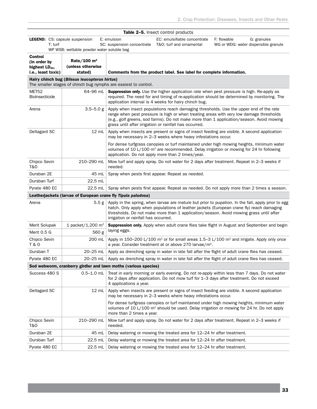|                                                  |                                               |                                                                 | Table 2-5. Insect control products                                                                                                                                                                                                                                                                                                      |             |                                                     |
|--------------------------------------------------|-----------------------------------------------|-----------------------------------------------------------------|-----------------------------------------------------------------------------------------------------------------------------------------------------------------------------------------------------------------------------------------------------------------------------------------------------------------------------------------|-------------|-----------------------------------------------------|
| <b>LEGEND:</b> CS: capsule suspension<br>T: turf |                                               | E: emulsion<br>SC: suspension concentrate                       | EC: emulsifiable concentrate<br>T&O: turf and ornamental                                                                                                                                                                                                                                                                                | F: flowable | G: granules<br>WG or WDG: water dispersible granule |
|                                                  | WP WSB: wettable powder water soluble bag     |                                                                 |                                                                                                                                                                                                                                                                                                                                         |             |                                                     |
| Control<br>(in order by                          | Rate/100 $m2$                                 |                                                                 |                                                                                                                                                                                                                                                                                                                                         |             |                                                     |
| highest $LD_{50}$ ,                              | (unless otherwise                             |                                                                 |                                                                                                                                                                                                                                                                                                                                         |             |                                                     |
| i.e., least toxic)                               | stated)                                       |                                                                 | Comments from the product label. See label for complete information.                                                                                                                                                                                                                                                                    |             |                                                     |
|                                                  | Hairy chinch bug (Blissus leucopterus hirtus) | The smaller stages of chinch bug nymphs are easiest to control. |                                                                                                                                                                                                                                                                                                                                         |             |                                                     |
| MET <sub>52</sub><br><b>BioInsecticide</b>       | 64-96 mL                                      |                                                                 | <b>Suppression only.</b> Use the higher application rate when pest pressure is high. Re-apply as<br>required. The need for and timing of re-application should be determined by monitoring. The<br>application interval is 4 weeks for hairy chinch bug.                                                                                |             |                                                     |
| Arena                                            | $3.5 - 5.0 g$                                 |                                                                 | Apply when insect populations reach damaging thresholds. Use the upper end of the rate<br>range when pest pressure is high or when treating areas with very low damage thresholds<br>(e.g., golf greens, sod farms). Do not make more than 1 application/season. Avoid mowing<br>grass until after irrigation or rainfall has occurred. |             |                                                     |
| Deltagard SC                                     | 12 mL                                         |                                                                 | Apply when insects are present or signs of insect feeding are visible. A second application<br>may be necessary in 2–3 weeks where heavy infestations occur.                                                                                                                                                                            |             |                                                     |
|                                                  |                                               |                                                                 | For dense turfgrass canopies or turf maintained under high mowing heights, minimum water<br>volumes of 10 L/100 m <sup>2</sup> are recommended. Delay irrigation or mowing for 24 hr following<br>application. Do not apply more than 2 times/year.                                                                                     |             |                                                     |
| Chipco Sevin<br>T&O                              | 210-290 mL                                    | needed.                                                         | Mow turf and apply spray. Do not water for 2 days after treatment. Repeat in 2–3 weeks if                                                                                                                                                                                                                                               |             |                                                     |
| Dursban 2E                                       | 45 mL                                         |                                                                 | Spray when pests first appear. Repeat as needed.                                                                                                                                                                                                                                                                                        |             |                                                     |
| Dursban Turf                                     | 22.5 mL                                       |                                                                 |                                                                                                                                                                                                                                                                                                                                         |             |                                                     |
| Pyrate 480 EC                                    | $22.5$ mL                                     |                                                                 | Spray when pests first appear. Repeat as needed. Do not apply more than 2 times a season.                                                                                                                                                                                                                                               |             |                                                     |
|                                                  |                                               | Leatherjackets (larvae of European crane fly Tipula paludosa)   |                                                                                                                                                                                                                                                                                                                                         |             |                                                     |
| Arena                                            | 5.5 g                                         | irrigation or rainfall has occurred.                            | Apply in the spring, when larvae are mature but prior to pupation. In the fall, apply prior to egg<br>hatch. Only apply when populations of leather jackets (European crane fly) reach damaging<br>thresholds. Do not make more than 1 application/season. Avoid mowing grass until after                                               |             |                                                     |
| Merit Solupak                                    | 1 packet/1,200 m <sup>2</sup>                 |                                                                 | Suppression only. Apply when adult crane flies take flight in August and September and begin                                                                                                                                                                                                                                            |             |                                                     |
| Merit 0.5 G                                      | 560 g                                         | laying eggs.                                                    |                                                                                                                                                                                                                                                                                                                                         |             |                                                     |
| Chipco Sevin<br>T & O                            | 200 mL                                        |                                                                 | Apply in 150–200 L/100 m <sup>2</sup> or for small areas 1.5–3 L/100 m <sup>2</sup> and irrigate. Apply only once<br>a year. Consider treatment at or above 270 larvae/m <sup>2</sup> .                                                                                                                                                 |             |                                                     |
| Dursban T                                        | 20-25 mL                                      |                                                                 | Apply as drenching spray in water in late fall after the flight of adult crane flies has ceased.                                                                                                                                                                                                                                        |             |                                                     |
| Pyrate 480 EC                                    | 20-25 mL                                      |                                                                 | Apply as drenching spray in water in late fall after the flight of adult crane flies has ceased.                                                                                                                                                                                                                                        |             |                                                     |
|                                                  |                                               | Sod webworm, cranberry girdler and lawn moths (various species) |                                                                                                                                                                                                                                                                                                                                         |             |                                                     |
| Success 480 S                                    | $0.5 - 1.0$ mL                                | 4 applications a year.                                          | Treat in early morning or early evening. Do not re-apply within less than 7 days. Do not water<br>for 2 days after application. Do not mow turf for 1–3 days after treatment. Do not exceed                                                                                                                                             |             |                                                     |
| Deltagard SC                                     | $12 \, \text{m}$                              |                                                                 | Apply when insects are present or signs of insect feeding are visible. A second application<br>may be necessary in 2–3 weeks where heavy infestations occur.                                                                                                                                                                            |             |                                                     |
|                                                  |                                               | more than 2 times a year.                                       | For dense turfgrass canopies or turf maintained under high mowing heights, minimum water<br>volumes of 10 L/100 $m2$ should be used. Delay irrigation or mowing for 24 hr. Do not apply                                                                                                                                                 |             |                                                     |
| Chipco Sevin<br>T&O                              | 210-290 mL                                    | needed.                                                         | Mow turf and apply spray. Do not water for 2 days after treatment. Repeat in 2-3 weeks if                                                                                                                                                                                                                                               |             |                                                     |
| Dursban 2E                                       | 45 mL                                         |                                                                 | Delay watering or mowing the treated area for 12-24 hr after treatment.                                                                                                                                                                                                                                                                 |             |                                                     |
| Dursban Turf                                     | 22.5 mL                                       |                                                                 | Delay watering or mowing the treated area for 12-24 hr after treatment.                                                                                                                                                                                                                                                                 |             |                                                     |
| Pyrate 480 EC                                    | 22.5 mL                                       |                                                                 | Delay watering or mowing the treated area for 12-24 hr after treatment.                                                                                                                                                                                                                                                                 |             |                                                     |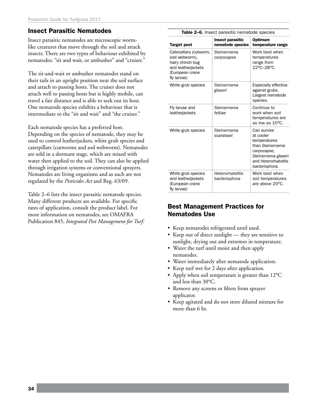## Insect Parasitic Nematodes

Insect parasitic nematodes are microscopic wormlike creatures that move through the soil and attack insects. There are two types of behaviour exhibited by nematodes: "sit and wait, or ambusher" and "cruiser."

The sit-and-wait or ambusher nematodes stand on their tails in an upright position near the soil surface and attach to passing hosts. The cruiser does not attach well to passing hosts but is highly mobile, can travel a fair distance and is able to seek out its host. One nematode species exhibits a behaviour that is intermediate to the "sit and wait" and "the cruiser."

Each nematode species has a preferred host. Depending on the species of nematode, they may be used to control leatherjackets, white grub species and caterpillars (cutworms and sod webworm). Nematodes are sold in a dormant stage, which are mixed with water then applied to the soil. They can also be applied through irrigation systems or conventional sprayers. Nematodes are living organisms and as such are not regulated by the *Pesticides Act* and Reg. 63/09.

Table 2–6 lists the insect parasitic nematode species. Many different products are available. For specific rates of application, consult the product label. For more information on nematodes, see OMAFRA Publication 845, *Integrated Pest Management for Turf*.

| <b>Table 2–6.</b> Insect parasitic nematode species                                                                 |                                             |                                                                                                                                             |  |  |  |  |
|---------------------------------------------------------------------------------------------------------------------|---------------------------------------------|---------------------------------------------------------------------------------------------------------------------------------------------|--|--|--|--|
| Target pest                                                                                                         | <b>Insect parasitic</b><br>nematode species | <b>Optimum</b><br>temperature range                                                                                                         |  |  |  |  |
| Caterpillars (cutworm,<br>sod webworm),<br>hairy chinch bug<br>and leatherjackets<br>(European crane<br>fly larvae) | Steinernema<br>carpocapse                   | Work best when<br>temperatures<br>range from<br>22°C-28°C.                                                                                  |  |  |  |  |
| White grub species                                                                                                  | Steinernema<br>glaseri                      | <b>Especially effective</b><br>against grubs.<br>Largest nematode<br>species.                                                               |  |  |  |  |
| Fly larvae and<br>leatherjackets                                                                                    | Steinernema<br>feltiae                      | Continue to<br>work when soil<br>temperatures are<br>as low as 10°C.                                                                        |  |  |  |  |
| White grub species                                                                                                  | Steinernema<br>scarabaei                    | Can survive<br>at cooler<br>temperatures<br>than Steinernema<br>carpocapse,<br>Steinernema glaseri<br>and Heterorhabditis<br>bacteriophora. |  |  |  |  |
| White grub species<br>and leatherjackets<br>(European crane<br>fly larvae)                                          | <b>Heterorhabditis</b><br>bacteriophora     | Work best when<br>soil temperatures<br>are above 20°C.                                                                                      |  |  |  |  |

## Best Management Practices for Nematodes Use

- • Keep nematodes refrigerated until used.
- Keep out of direct sunlight they are sensitive to sunlight, drying out and extremes in temperature.
- Water the turf until moist and then apply nematodes.
- Water immediately after nematode application.
- Keep turf wet for 2 days after application.
- Apply when soil temperature is greater than 12°C and less than 30°C.
- Remove any screens or filters from sprayer applicator.
- Keep agitated and do not store diluted mixture for more than 6 hr.